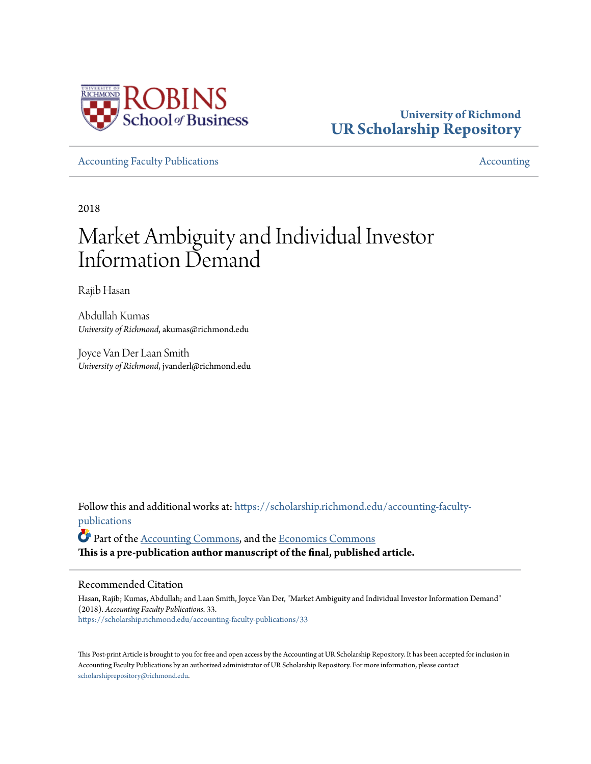

### **University of Richmond [UR Scholarship Repository](https://scholarship.richmond.edu?utm_source=scholarship.richmond.edu%2Faccounting-faculty-publications%2F33&utm_medium=PDF&utm_campaign=PDFCoverPages)**

[Accounting Faculty Publications](https://scholarship.richmond.edu/accounting-faculty-publications?utm_source=scholarship.richmond.edu%2Faccounting-faculty-publications%2F33&utm_medium=PDF&utm_campaign=PDFCoverPages) and the counting Faculty Publications and the counting [Accounting](https://scholarship.richmond.edu/accounting?utm_source=scholarship.richmond.edu%2Faccounting-faculty-publications%2F33&utm_medium=PDF&utm_campaign=PDFCoverPages) Accounting Accounting Accounting Accounting Accounting Accounting Accounting Accounting Accounting Accounting Accounting Acc

2018

# Market Ambiguity and Individual Investor Information Demand

Rajib Hasan

Abdullah Kumas *University of Richmond*, akumas@richmond.edu

Joyce Van Der Laan Smith *University of Richmond*, jvanderl@richmond.edu

Follow this and additional works at: [https://scholarship.richmond.edu/accounting-faculty](https://scholarship.richmond.edu/accounting-faculty-publications?utm_source=scholarship.richmond.edu%2Faccounting-faculty-publications%2F33&utm_medium=PDF&utm_campaign=PDFCoverPages)[publications](https://scholarship.richmond.edu/accounting-faculty-publications?utm_source=scholarship.richmond.edu%2Faccounting-faculty-publications%2F33&utm_medium=PDF&utm_campaign=PDFCoverPages)

Part of the [Accounting Commons](http://network.bepress.com/hgg/discipline/625?utm_source=scholarship.richmond.edu%2Faccounting-faculty-publications%2F33&utm_medium=PDF&utm_campaign=PDFCoverPages), and the [Economics Commons](http://network.bepress.com/hgg/discipline/340?utm_source=scholarship.richmond.edu%2Faccounting-faculty-publications%2F33&utm_medium=PDF&utm_campaign=PDFCoverPages) **This is a pre-publication author manuscript of the final, published article.**

#### Recommended Citation

Hasan, Rajib; Kumas, Abdullah; and Laan Smith, Joyce Van Der, "Market Ambiguity and Individual Investor Information Demand" (2018). *Accounting Faculty Publications*. 33. [https://scholarship.richmond.edu/accounting-faculty-publications/33](https://scholarship.richmond.edu/accounting-faculty-publications/33?utm_source=scholarship.richmond.edu%2Faccounting-faculty-publications%2F33&utm_medium=PDF&utm_campaign=PDFCoverPages)

This Post-print Article is brought to you for free and open access by the Accounting at UR Scholarship Repository. It has been accepted for inclusion in Accounting Faculty Publications by an authorized administrator of UR Scholarship Repository. For more information, please contact [scholarshiprepository@richmond.edu.](mailto:scholarshiprepository@richmond.edu)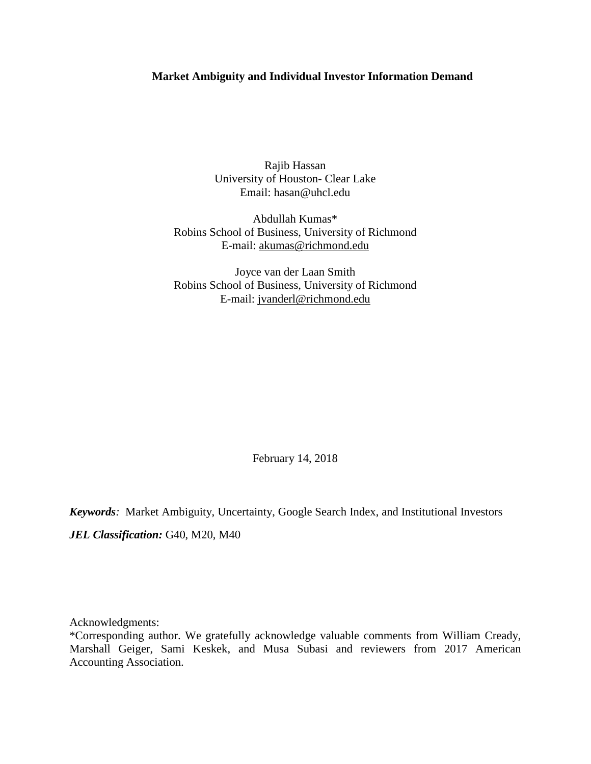#### **Market Ambiguity and Individual Investor Information Demand**

Rajib Hassan University of Houston- Clear Lake Email: [hasan@uhcl.edu](mailto:hasan@uhcl.edu)

Abdullah Kumas\* Robins School of Business, University of Richmond E-mail: [akumas@richmond.edu](mailto:akumas@richmond.edu)

Joyce van der Laan Smith Robins School of Business, University of Richmond E-mail: [jvanderl@richmond.edu](mailto:jvanderl@richmond.edu)

February 14, 2018

*Keywords:* Market Ambiguity, Uncertainty, Google Search Index, and Institutional Investors JEL Classification: G40, M20, M40

Acknowledgments:

\*Corresponding author. We gratefully acknowledge valuable comments from William Cready, Marshall Geiger, Sami Keskek, and Musa Subasi and reviewers from 2017 American Accounting Association.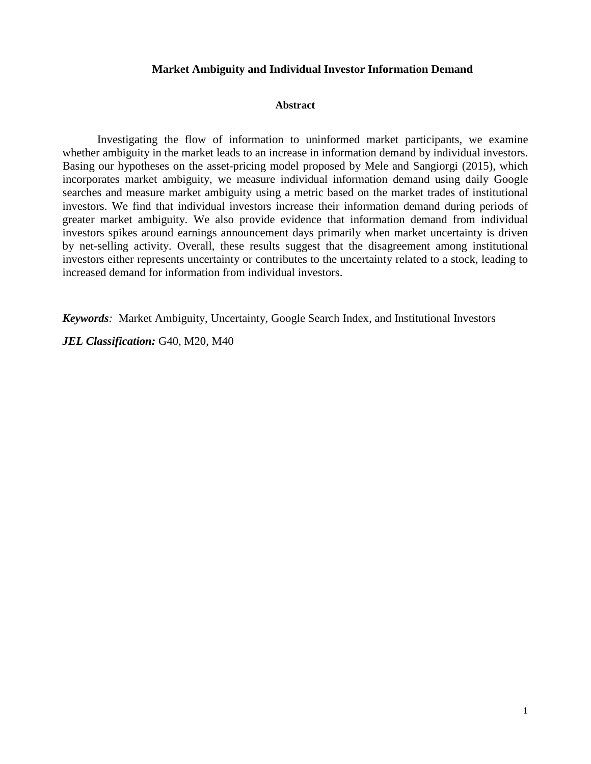#### **Market Ambiguity and Individual Investor Information Demand**

#### **Abstract**

Investigating the flow of information to uninformed market participants, we examine whether ambiguity in the market leads to an increase in information demand by individual investors. Basing our hypotheses on the asset-pricing model proposed by Mele and Sangiorgi (2015), which incorporates market ambiguity, we measure individual information demand using daily Google searches and measure market ambiguity using a metric based on the market trades of institutional investors. We find that individual investors increase their information demand during periods of greater market ambiguity. We also provide evidence that information demand from individual investors spikes around earnings announcement days primarily when market uncertainty is driven by net-selling activity. Overall, these results suggest that the disagreement among institutional investors either represents uncertainty or contributes to the uncertainty related to a stock, leading to increased demand for information from individual investors.

*Keywords:* Market Ambiguity, Uncertainty, Google Search Index, and Institutional Investors

*JEL Classification:* G40, M20, M40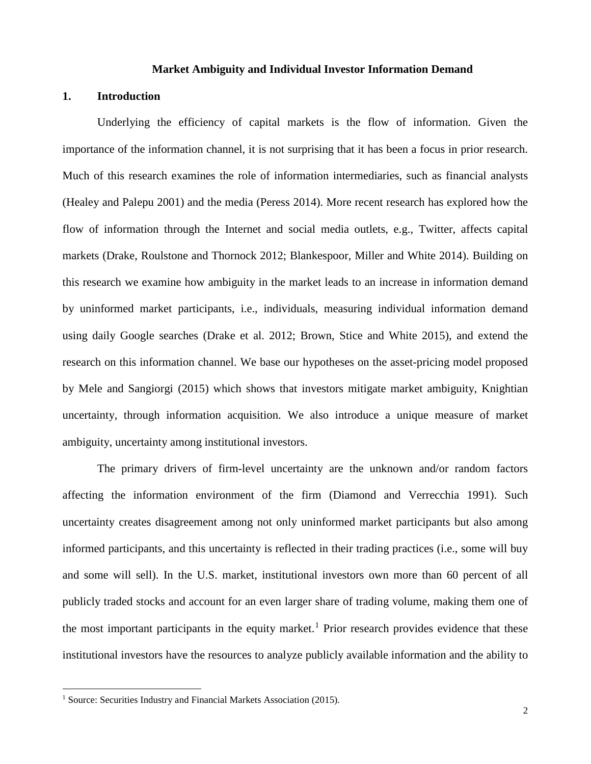#### **Market Ambiguity and Individual Investor Information Demand**

#### **1. Introduction**

Underlying the efficiency of capital markets is the flow of information. Given the importance of the information channel, it is not surprising that it has been a focus in prior research. Much of this research examines the role of information intermediaries, such as financial analysts (Healey and Palepu 2001) and the media (Peress 2014). More recent research has explored how the flow of information through the Internet and social media outlets, e.g., Twitter, affects capital markets (Drake, Roulstone and Thornock 2012; Blankespoor, Miller and White 2014). Building on this research we examine how ambiguity in the market leads to an increase in information demand by uninformed market participants, i.e., individuals, measuring individual information demand using daily Google searches (Drake et al. 2012; Brown, Stice and White 2015), and extend the research on this information channel. We base our hypotheses on the asset-pricing model proposed by Mele and Sangiorgi (2015) which shows that investors mitigate market ambiguity, Knightian uncertainty, through information acquisition. We also introduce a unique measure of market ambiguity, uncertainty among institutional investors.

The primary drivers of firm-level uncertainty are the unknown and/or random factors affecting the information environment of the firm (Diamond and Verrecchia 1991). Such uncertainty creates disagreement among not only uninformed market participants but also among informed participants, and this uncertainty is reflected in their trading practices (i.e., some will buy and some will sell). In the U.S. market, institutional investors own more than 60 percent of all publicly traded stocks and account for an even larger share of trading volume, making them one of the most important participants in the equity market.<sup>[1](#page-3-0)</sup> Prior research provides evidence that these institutional investors have the resources to analyze publicly available information and the ability to

<span id="page-3-0"></span><sup>&</sup>lt;sup>1</sup> Source: Securities Industry and Financial Markets Association (2015).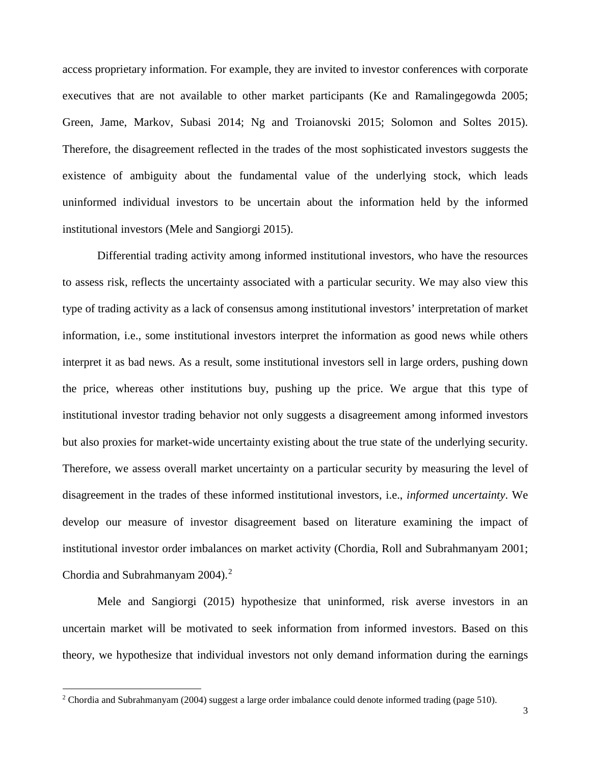access proprietary information. For example, they are invited to investor conferences with corporate executives that are not available to other market participants (Ke and Ramalingegowda 2005; Green, Jame, Markov, Subasi 2014; Ng and Troianovski 2015; Solomon and Soltes 2015). Therefore, the disagreement reflected in the trades of the most sophisticated investors suggests the existence of ambiguity about the fundamental value of the underlying stock, which leads uninformed individual investors to be uncertain about the information held by the informed institutional investors (Mele and Sangiorgi 2015).

Differential trading activity among informed institutional investors, who have the resources to assess risk, reflects the uncertainty associated with a particular security. We may also view this type of trading activity as a lack of consensus among institutional investors' interpretation of market information, i.e., some institutional investors interpret the information as good news while others interpret it as bad news. As a result, some institutional investors sell in large orders, pushing down the price, whereas other institutions buy, pushing up the price. We argue that this type of institutional investor trading behavior not only suggests a disagreement among informed investors but also proxies for market-wide uncertainty existing about the true state of the underlying security. Therefore, we assess overall market uncertainty on a particular security by measuring the level of disagreement in the trades of these informed institutional investors, i.e., *informed uncertainty*. We develop our measure of investor disagreement based on literature examining the impact of institutional investor order imbalances on market activity (Chordia, Roll and Subrahmanyam 2001; Chordia and Subrahmanyam [2](#page-4-0)004).<sup>2</sup>

Mele and Sangiorgi (2015) hypothesize that uninformed, risk averse investors in an uncertain market will be motivated to seek information from informed investors. Based on this theory, we hypothesize that individual investors not only demand information during the earnings

<span id="page-4-0"></span> $2$  Chordia and Subrahmanyam (2004) suggest a large order imbalance could denote informed trading (page 510).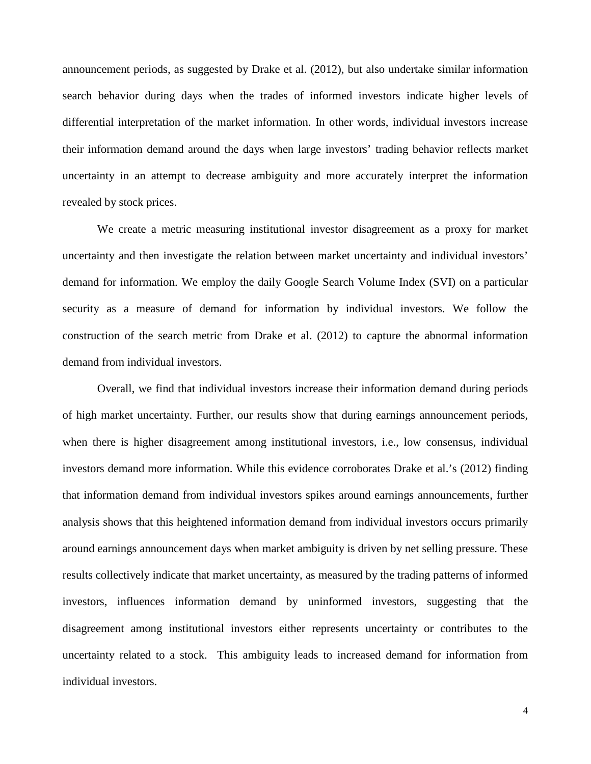announcement periods, as suggested by Drake et al. (2012), but also undertake similar information search behavior during days when the trades of informed investors indicate higher levels of differential interpretation of the market information. In other words, individual investors increase their information demand around the days when large investors' trading behavior reflects market uncertainty in an attempt to decrease ambiguity and more accurately interpret the information revealed by stock prices.

We create a metric measuring institutional investor disagreement as a proxy for market uncertainty and then investigate the relation between market uncertainty and individual investors' demand for information. We employ the daily Google Search Volume Index (SVI) on a particular security as a measure of demand for information by individual investors. We follow the construction of the search metric from Drake et al. (2012) to capture the abnormal information demand from individual investors.

Overall, we find that individual investors increase their information demand during periods of high market uncertainty. Further, our results show that during earnings announcement periods, when there is higher disagreement among institutional investors, i.e., low consensus, individual investors demand more information. While this evidence corroborates Drake et al.'s (2012) finding that information demand from individual investors spikes around earnings announcements, further analysis shows that this heightened information demand from individual investors occurs primarily around earnings announcement days when market ambiguity is driven by net selling pressure. These results collectively indicate that market uncertainty, as measured by the trading patterns of informed investors, influences information demand by uninformed investors, suggesting that the disagreement among institutional investors either represents uncertainty or contributes to the uncertainty related to a stock. This ambiguity leads to increased demand for information from individual investors.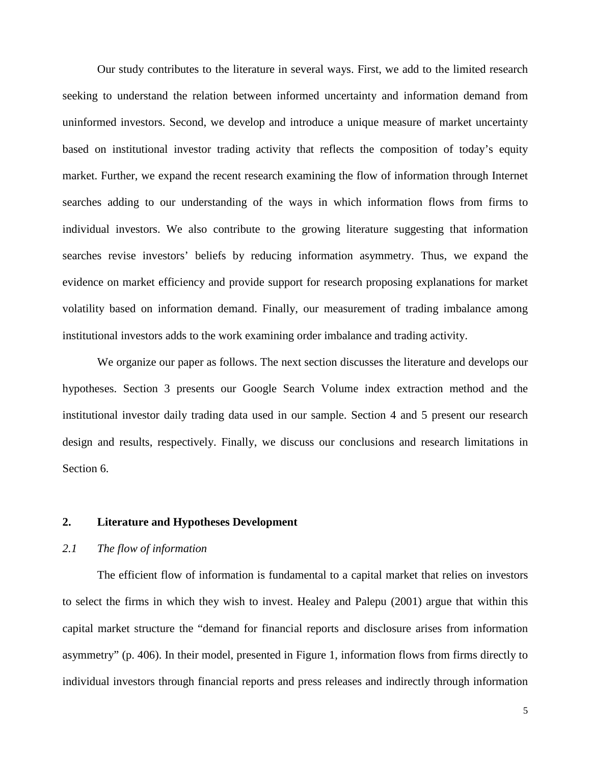Our study contributes to the literature in several ways. First, we add to the limited research seeking to understand the relation between informed uncertainty and information demand from uninformed investors. Second, we develop and introduce a unique measure of market uncertainty based on institutional investor trading activity that reflects the composition of today's equity market. Further, we expand the recent research examining the flow of information through Internet searches adding to our understanding of the ways in which information flows from firms to individual investors. We also contribute to the growing literature suggesting that information searches revise investors' beliefs by reducing information asymmetry. Thus, we expand the evidence on market efficiency and provide support for research proposing explanations for market volatility based on information demand. Finally, our measurement of trading imbalance among institutional investors adds to the work examining order imbalance and trading activity.

We organize our paper as follows. The next section discusses the literature and develops our hypotheses. Section 3 presents our Google Search Volume index extraction method and the institutional investor daily trading data used in our sample. Section 4 and 5 present our research design and results, respectively. Finally, we discuss our conclusions and research limitations in Section 6.

#### **2. Literature and Hypotheses Development**

#### *2.1 The flow of information*

The efficient flow of information is fundamental to a capital market that relies on investors to select the firms in which they wish to invest. Healey and Palepu (2001) argue that within this capital market structure the "demand for financial reports and disclosure arises from information asymmetry" (p. 406). In their model, presented in Figure 1, information flows from firms directly to individual investors through financial reports and press releases and indirectly through information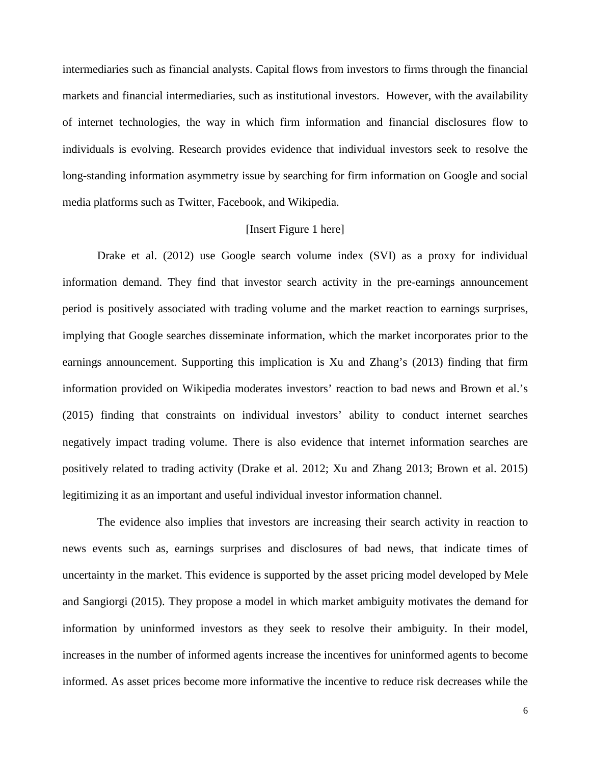intermediaries such as financial analysts. Capital flows from investors to firms through the financial markets and financial intermediaries, such as institutional investors. However, with the availability of internet technologies, the way in which firm information and financial disclosures flow to individuals is evolving. Research provides evidence that individual investors seek to resolve the long-standing information asymmetry issue by searching for firm information on Google and social media platforms such as Twitter, Facebook, and Wikipedia.

#### [Insert Figure 1 here]

Drake et al. (2012) use Google search volume index (SVI) as a proxy for individual information demand. They find that investor search activity in the pre-earnings announcement period is positively associated with trading volume and the market reaction to earnings surprises, implying that Google searches disseminate information, which the market incorporates prior to the earnings announcement. Supporting this implication is Xu and Zhang's (2013) finding that firm information provided on Wikipedia moderates investors' reaction to bad news and Brown et al.'s (2015) finding that constraints on individual investors' ability to conduct internet searches negatively impact trading volume. There is also evidence that internet information searches are positively related to trading activity (Drake et al. 2012; Xu and Zhang 2013; Brown et al. 2015) legitimizing it as an important and useful individual investor information channel.

The evidence also implies that investors are increasing their search activity in reaction to news events such as, earnings surprises and disclosures of bad news, that indicate times of uncertainty in the market. This evidence is supported by the asset pricing model developed by Mele and Sangiorgi (2015). They propose a model in which market ambiguity motivates the demand for information by uninformed investors as they seek to resolve their ambiguity. In their model, increases in the number of informed agents increase the incentives for uninformed agents to become informed. As asset prices become more informative the incentive to reduce risk decreases while the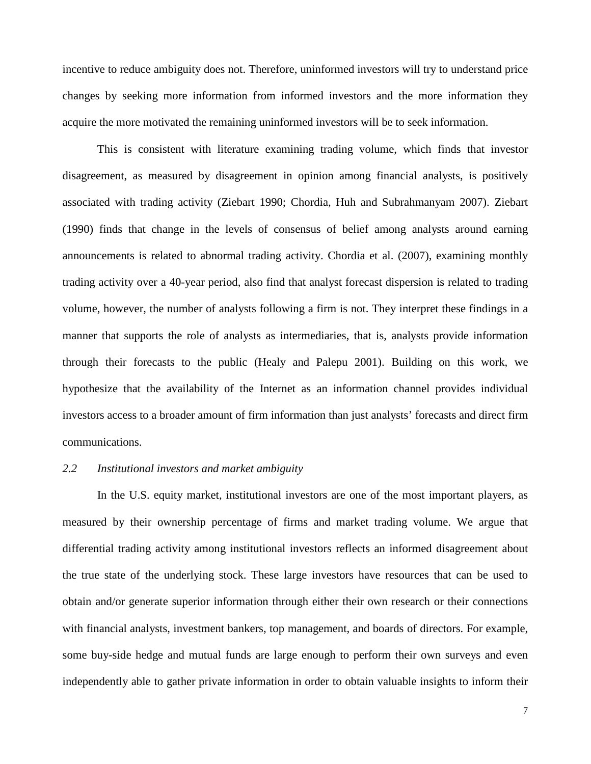incentive to reduce ambiguity does not. Therefore, uninformed investors will try to understand price changes by seeking more information from informed investors and the more information they acquire the more motivated the remaining uninformed investors will be to seek information.

This is consistent with literature examining trading volume, which finds that investor disagreement, as measured by disagreement in opinion among financial analysts, is positively associated with trading activity (Ziebart 1990; Chordia, Huh and Subrahmanyam 2007). Ziebart (1990) finds that change in the levels of consensus of belief among analysts around earning announcements is related to abnormal trading activity. Chordia et al. (2007), examining monthly trading activity over a 40-year period, also find that analyst forecast dispersion is related to trading volume, however, the number of analysts following a firm is not. They interpret these findings in a manner that supports the role of analysts as intermediaries, that is, analysts provide information through their forecasts to the public (Healy and Palepu 2001). Building on this work, we hypothesize that the availability of the Internet as an information channel provides individual investors access to a broader amount of firm information than just analysts' forecasts and direct firm communications.

#### *2.2 Institutional investors and market ambiguity*

In the U.S. equity market, institutional investors are one of the most important players, as measured by their ownership percentage of firms and market trading volume. We argue that differential trading activity among institutional investors reflects an informed disagreement about the true state of the underlying stock. These large investors have resources that can be used to obtain and/or generate superior information through either their own research or their connections with financial analysts, investment bankers, top management, and boards of directors. For example, some buy-side hedge and mutual funds are large enough to perform their own surveys and even independently able to gather private information in order to obtain valuable insights to inform their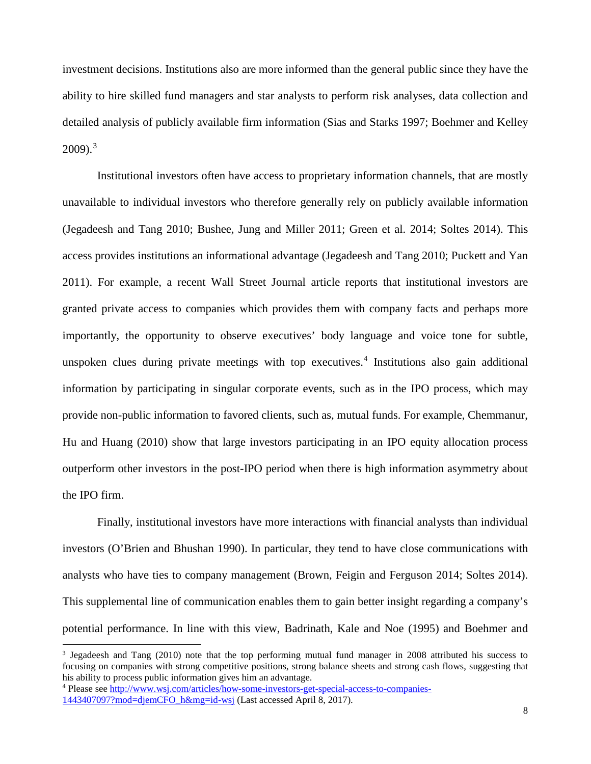investment decisions. Institutions also are more informed than the general public since they have the ability to hire skilled fund managers and star analysts to perform risk analyses, data collection and detailed analysis of publicly available firm information (Sias and Starks 1997; Boehmer and Kelley  $2009$ ).<sup>[3](#page-9-0)</sup>

Institutional investors often have access to proprietary information channels, that are mostly unavailable to individual investors who therefore generally rely on publicly available information (Jegadeesh and Tang 2010; Bushee, Jung and Miller 2011; Green et al. 2014; Soltes 2014). This access provides institutions an informational advantage (Jegadeesh and Tang 2010; Puckett and Yan 2011). For example, a recent Wall Street Journal article reports that institutional investors are granted private access to companies which provides them with company facts and perhaps more importantly, the opportunity to observe executives' body language and voice tone for subtle, unspoken clues during private meetings with top executives. [4](#page-9-1) Institutions also gain additional information by participating in singular corporate events, such as in the IPO process, which may provide non-public information to favored clients, such as, mutual funds. For example, Chemmanur, Hu and Huang (2010) show that large investors participating in an IPO equity allocation process outperform other investors in the post-IPO period when there is high information asymmetry about the IPO firm.

Finally, institutional investors have more interactions with financial analysts than individual investors (O'Brien and Bhushan 1990). In particular, they tend to have close communications with analysts who have ties to company management (Brown, Feigin and Ferguson 2014; Soltes 2014). This supplemental line of communication enables them to gain better insight regarding a company's potential performance. In line with this view, Badrinath, Kale and Noe (1995) and Boehmer and

<span id="page-9-0"></span><sup>3</sup> Jegadeesh and Tang (2010) note that the top performing mutual fund manager in 2008 attributed his success to focusing on companies with strong competitive positions, strong balance sheets and strong cash flows, suggesting that his ability to process public information gives him an advantage.

<span id="page-9-1"></span><sup>4</sup> Please see [http://www.wsj.com/articles/how-some-investors-get-special-access-to-companies-](http://www.wsj.com/articles/how-some-investors-get-special-access-to-companies-1443407097?mod=djemCFO_h&mg=id-wsj)[1443407097?mod=djemCFO\\_h&mg=id-wsj](http://www.wsj.com/articles/how-some-investors-get-special-access-to-companies-1443407097?mod=djemCFO_h&mg=id-wsj) (Last accessed April 8, 2017).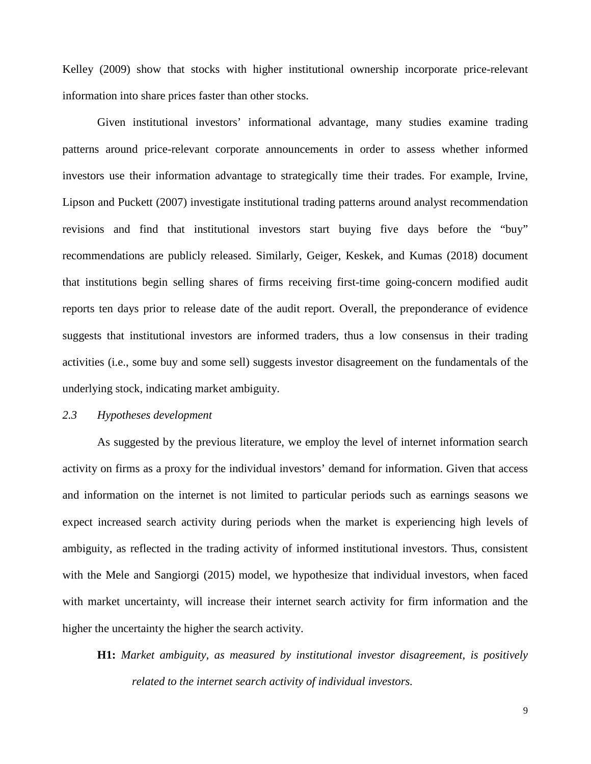Kelley (2009) show that stocks with higher institutional ownership incorporate price-relevant information into share prices faster than other stocks.

Given institutional investors' informational advantage, many studies examine trading patterns around price-relevant corporate announcements in order to assess whether informed investors use their information advantage to strategically time their trades. For example, Irvine, Lipson and Puckett (2007) investigate institutional trading patterns around analyst recommendation revisions and find that institutional investors start buying five days before the "buy" recommendations are publicly released. Similarly, Geiger, Keskek, and Kumas (2018) document that institutions begin selling shares of firms receiving first-time going-concern modified audit reports ten days prior to release date of the audit report. Overall, the preponderance of evidence suggests that institutional investors are informed traders, thus a low consensus in their trading activities (i.e., some buy and some sell) suggests investor disagreement on the fundamentals of the underlying stock, indicating market ambiguity.

#### *2.3 Hypotheses development*

As suggested by the previous literature, we employ the level of internet information search activity on firms as a proxy for the individual investors' demand for information. Given that access and information on the internet is not limited to particular periods such as earnings seasons we expect increased search activity during periods when the market is experiencing high levels of ambiguity, as reflected in the trading activity of informed institutional investors. Thus, consistent with the Mele and Sangiorgi (2015) model, we hypothesize that individual investors, when faced with market uncertainty, will increase their internet search activity for firm information and the higher the uncertainty the higher the search activity.

# **H1:** *Market ambiguity, as measured by institutional investor disagreement, is positively related to the internet search activity of individual investors.*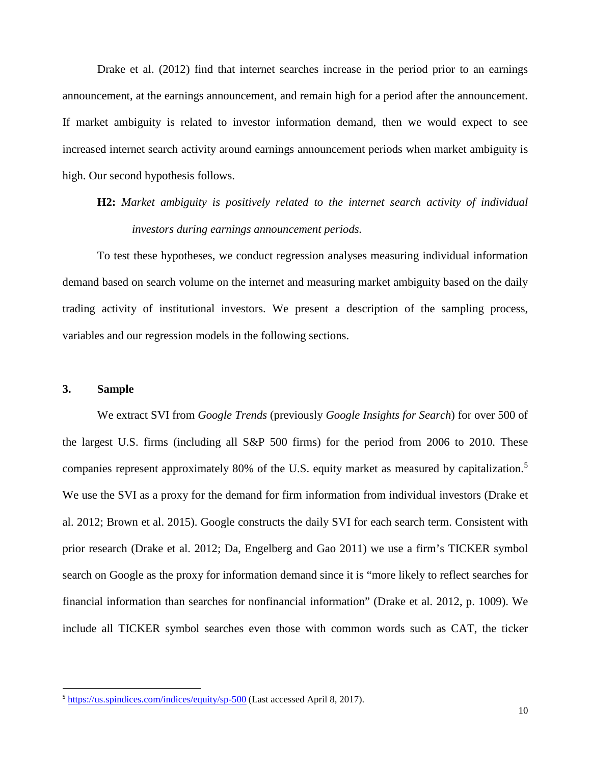Drake et al. (2012) find that internet searches increase in the period prior to an earnings announcement, at the earnings announcement, and remain high for a period after the announcement. If market ambiguity is related to investor information demand, then we would expect to see increased internet search activity around earnings announcement periods when market ambiguity is high. Our second hypothesis follows.

# **H2:** *Market ambiguity is positively related to the internet search activity of individual investors during earnings announcement periods.*

To test these hypotheses, we conduct regression analyses measuring individual information demand based on search volume on the internet and measuring market ambiguity based on the daily trading activity of institutional investors. We present a description of the sampling process, variables and our regression models in the following sections.

#### **3. Sample**

We extract SVI from *Google Trends* (previously *Google Insights for Search*) for over 500 of the largest U.S. firms (including all S&P 500 firms) for the period from 2006 to 2010. These companies represent approximately 80% of the U.S. equity market as measured by capitalization.<sup>[5](#page-11-0)</sup> We use the SVI as a proxy for the demand for firm information from individual investors (Drake et al. 2012; Brown et al. 2015). Google constructs the daily SVI for each search term. Consistent with prior research (Drake et al. 2012; Da, Engelberg and Gao 2011) we use a firm's TICKER symbol search on Google as the proxy for information demand since it is "more likely to reflect searches for financial information than searches for nonfinancial information" (Drake et al. 2012, p. 1009). We include all TICKER symbol searches even those with common words such as CAT, the ticker

<span id="page-11-0"></span> <sup>5</sup> <https://us.spindices.com/indices/equity/sp-500> (Last accessed April 8, 2017).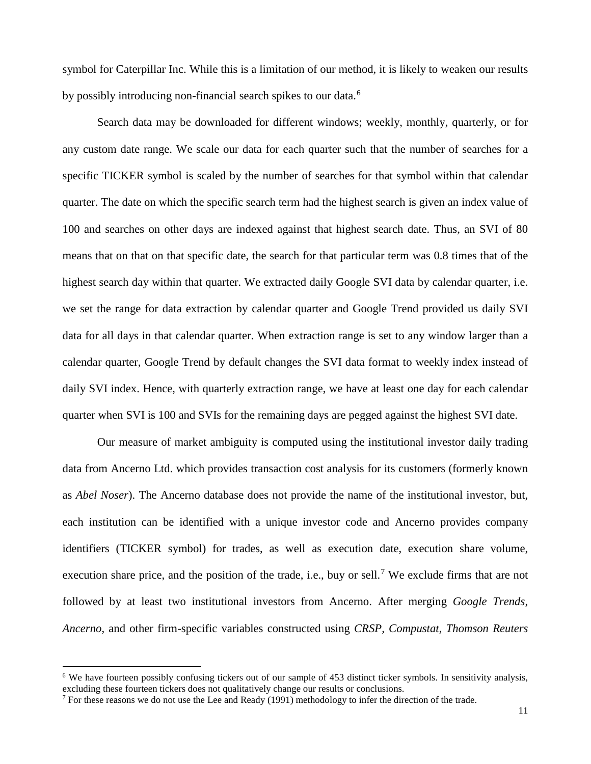symbol for Caterpillar Inc. While this is a limitation of our method, it is likely to weaken our results by possibly introducing non-financial search spikes to our data.<sup>[6](#page-12-0)</sup>

Search data may be downloaded for different windows; weekly, monthly, quarterly, or for any custom date range. We scale our data for each quarter such that the number of searches for a specific TICKER symbol is scaled by the number of searches for that symbol within that calendar quarter. The date on which the specific search term had the highest search is given an index value of 100 and searches on other days are indexed against that highest search date. Thus, an SVI of 80 means that on that on that specific date, the search for that particular term was 0.8 times that of the highest search day within that quarter. We extracted daily Google SVI data by calendar quarter, i.e. we set the range for data extraction by calendar quarter and Google Trend provided us daily SVI data for all days in that calendar quarter. When extraction range is set to any window larger than a calendar quarter, Google Trend by default changes the SVI data format to weekly index instead of daily SVI index. Hence, with quarterly extraction range, we have at least one day for each calendar quarter when SVI is 100 and SVIs for the remaining days are pegged against the highest SVI date.

Our measure of market ambiguity is computed using the institutional investor daily trading data from Ancerno Ltd. which provides transaction cost analysis for its customers (formerly known as *Abel Noser*). The Ancerno database does not provide the name of the institutional investor, but, each institution can be identified with a unique investor code and Ancerno provides company identifiers (TICKER symbol) for trades, as well as execution date, execution share volume, execution share price, and the position of the trade, i.e., buy or sell.<sup>[7](#page-12-1)</sup> We exclude firms that are not followed by at least two institutional investors from Ancerno. After merging *Google Trends*, *Ancerno*, and other firm-specific variables constructed using *CRSP, Compustat, Thomson Reuters*

<span id="page-12-0"></span><sup>&</sup>lt;sup>6</sup> We have fourteen possibly confusing tickers out of our sample of 453 distinct ticker symbols. In sensitivity analysis, excluding these fourteen tickers does not qualitatively change our results or conclusions.

<span id="page-12-1"></span> $7$  For these reasons we do not use the Lee and Ready (1991) methodology to infer the direction of the trade.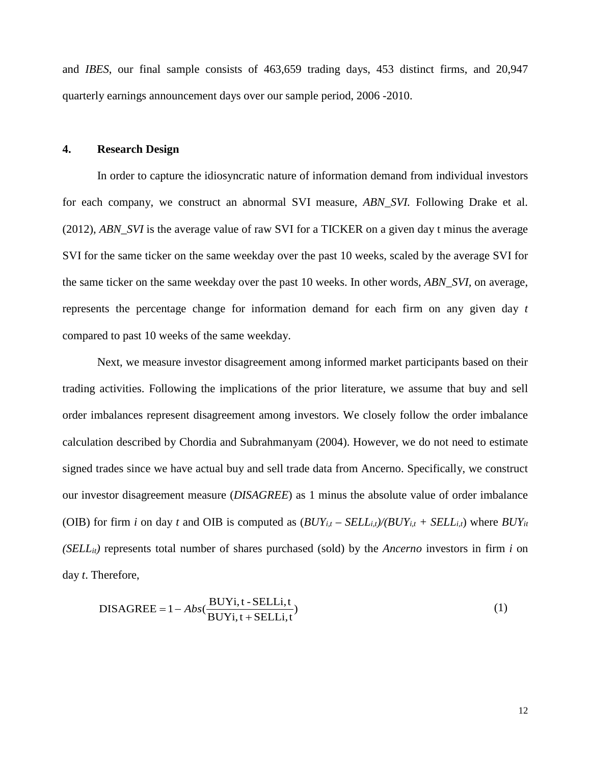and *IBES*, our final sample consists of 463,659 trading days, 453 distinct firms, and 20,947 quarterly earnings announcement days over our sample period, 2006 -2010.

#### **4. Research Design**

In order to capture the idiosyncratic nature of information demand from individual investors for each company, we construct an abnormal SVI measure, *ABN\_SVI.* Following Drake et al. (2012), *ABN\_SVI* is the average value of raw SVI for a TICKER on a given day t minus the average SVI for the same ticker on the same weekday over the past 10 weeks, scaled by the average SVI for the same ticker on the same weekday over the past 10 weeks. In other words, *ABN\_SVI,* on average, represents the percentage change for information demand for each firm on any given day *t* compared to past 10 weeks of the same weekday.

Next, we measure investor disagreement among informed market participants based on their trading activities. Following the implications of the prior literature, we assume that buy and sell order imbalances represent disagreement among investors. We closely follow the order imbalance calculation described by Chordia and Subrahmanyam (2004). However, we do not need to estimate signed trades since we have actual buy and sell trade data from Ancerno. Specifically, we construct our investor disagreement measure (*DISAGREE*) as 1 minus the absolute value of order imbalance (OIB) for firm *i* on day *t* and OIB is computed as  $(BUY_{i,t} - SEL_{i,t})/(BUY_{i,t} + SEL_{i,t})$  where  $BUY_{it}$ *(SELLit)* represents total number of shares purchased (sold) by the *Ancerno* investors in firm *i* on day *t*. Therefore,

$$
DISAGREE = 1 - Abs(\frac{BUYi, t - SELLi, t}{BUYi, t + SELLi, t})
$$
\n(1)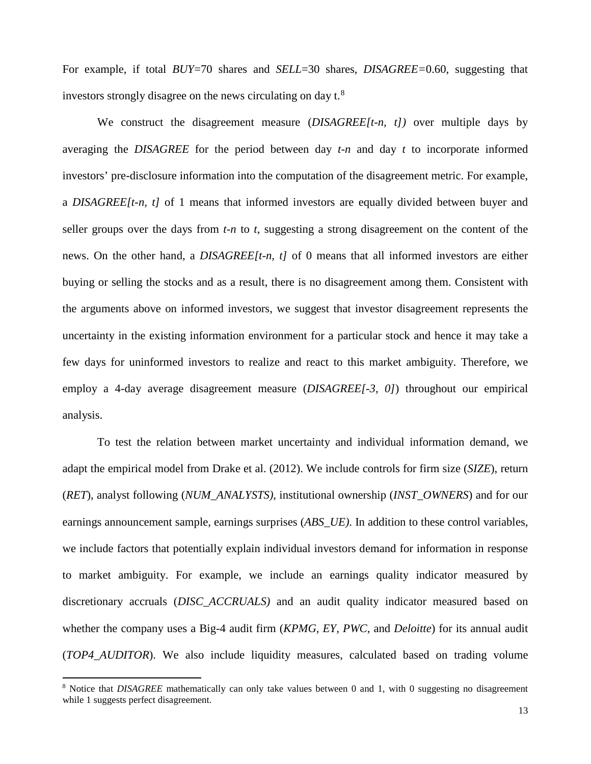For example, if total *BUY*=70 shares and *SELL*=30 shares, *DISAGREE=*0.60, suggesting that investors strongly disagree on the news circulating on day  $t^8$  $t^8$ .

We construct the disagreement measure (*DISAGREE[t-n, t])* over multiple days by averaging the *DISAGREE* for the period between day *t-n* and day *t* to incorporate informed investors' pre-disclosure information into the computation of the disagreement metric. For example, a *DISAGREE[t-n, t]* of 1 means that informed investors are equally divided between buyer and seller groups over the days from *t-n* to *t*, suggesting a strong disagreement on the content of the news. On the other hand, a *DISAGREE[t-n, t]* of 0 means that all informed investors are either buying or selling the stocks and as a result, there is no disagreement among them. Consistent with the arguments above on informed investors, we suggest that investor disagreement represents the uncertainty in the existing information environment for a particular stock and hence it may take a few days for uninformed investors to realize and react to this market ambiguity. Therefore, we employ a 4-day average disagreement measure (*DISAGREE[-3, 0]*) throughout our empirical analysis.

To test the relation between market uncertainty and individual information demand, we adapt the empirical model from Drake et al. (2012). We include controls for firm size (*SIZE*), return (*RET*), analyst following (*NUM\_ANALYSTS)*, institutional ownership (*INST\_OWNERS*) and for our earnings announcement sample, earnings surprises (*ABS\_UE)*. In addition to these control variables, we include factors that potentially explain individual investors demand for information in response to market ambiguity. For example, we include an earnings quality indicator measured by discretionary accruals (*DISC\_ACCRUALS)* and an audit quality indicator measured based on whether the company uses a Big-4 audit firm (*KPMG, EY, PWC,* and *Deloitte*) for its annual audit (*TOP4\_AUDITOR*). We also include liquidity measures, calculated based on trading volume

<span id="page-14-0"></span><sup>8</sup> Notice that *DISAGREE* mathematically can only take values between 0 and 1, with 0 suggesting no disagreement while 1 suggests perfect disagreement.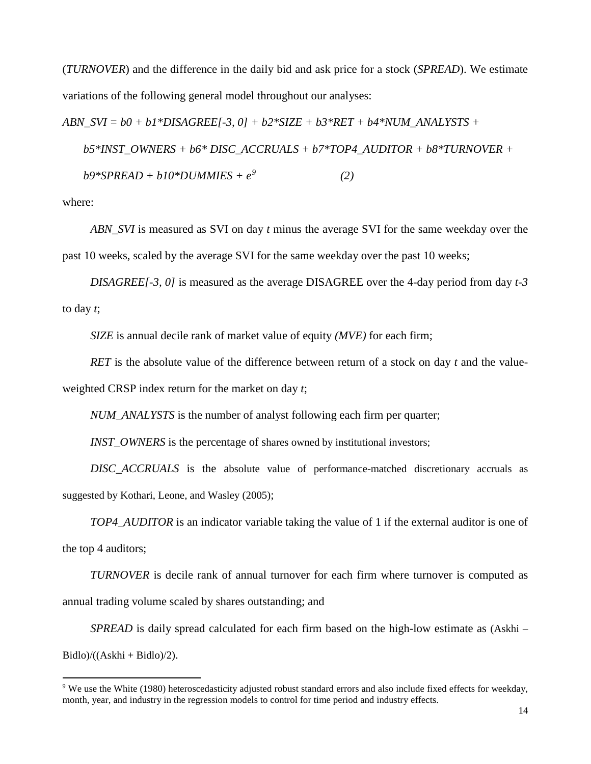(*TURNOVER*) and the difference in the daily bid and ask price for a stock (*SPREAD*). We estimate variations of the following general model throughout our analyses:

*ABN\_SVI = b0 + b1\*DISAGREE[-3, 0] + b2\*SIZE + b3\*RET + b4\*NUM\_ANALYSTS + b5\*INST\_OWNERS + b6\* DISC\_ACCRUALS + b7\*TOP4\_AUDITOR + b8\*TURNOVER + b9\*SPREAD + b10\*DUMMIES + e[9](#page-15-0) (2)*

where:

 $\overline{a}$ 

*ABN\_SVI* is measured as SVI on day *t* minus the average SVI for the same weekday over the past 10 weeks, scaled by the average SVI for the same weekday over the past 10 weeks;

*DISAGREE[-3, 0]* is measured as the average DISAGREE over the 4-day period from day *t-3* to day *t*;

*SIZE* is annual decile rank of market value of equity *(MVE)* for each firm;

*RET* is the absolute value of the difference between return of a stock on day *t* and the valueweighted CRSP index return for the market on day *t*;

*NUM\_ANALYSTS* is the number of analyst following each firm per quarter;

*INST\_OWNERS* is the percentage of shares owned by institutional investors;

*DISC\_ACCRUALS* is the absolute value of performance-matched discretionary accruals as suggested by Kothari, Leone, and Wasley (2005);

*TOP4\_AUDITOR* is an indicator variable taking the value of 1 if the external auditor is one of the top 4 auditors;

*TURNOVER* is decile rank of annual turnover for each firm where turnover is computed as annual trading volume scaled by shares outstanding; and

*SPREAD* is daily spread calculated for each firm based on the high-low estimate as (Askhi –  $Bidlo$ / $((Askhi + Bidlo)/2)$ .

<span id="page-15-0"></span><sup>9</sup> We use the White (1980) heteroscedasticity adjusted robust standard errors and also include fixed effects for weekday, month, year, and industry in the regression models to control for time period and industry effects.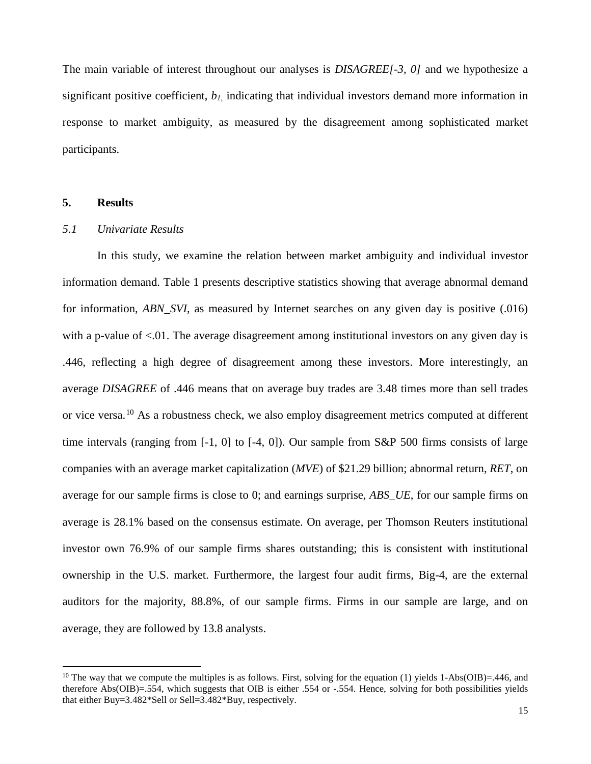The main variable of interest throughout our analyses is *DISAGREE[-3, 0]* and we hypothesize a significant positive coefficient, *b1*, indicating that individual investors demand more information in response to market ambiguity, as measured by the disagreement among sophisticated market participants.

#### **5. Results**

 $\overline{a}$ 

#### *5.1 Univariate Results*

In this study, we examine the relation between market ambiguity and individual investor information demand. Table 1 presents descriptive statistics showing that average abnormal demand for information, *ABN\_SVI*, as measured by Internet searches on any given day is positive (.016) with a p-value of  $\leq 0.01$ . The average disagreement among institutional investors on any given day is .446, reflecting a high degree of disagreement among these investors. More interestingly, an average *DISAGREE* of .446 means that on average buy trades are 3.48 times more than sell trades or vice versa.<sup>[10](#page-16-0)</sup> As a robustness check, we also employ disagreement metrics computed at different time intervals (ranging from [-1, 0] to [-4, 0]). Our sample from S&P 500 firms consists of large companies with an average market capitalization (*MVE*) of \$21.29 billion; abnormal return, *RET*, on average for our sample firms is close to 0; and earnings surprise, *ABS\_UE*, for our sample firms on average is 28.1% based on the consensus estimate. On average, per Thomson Reuters institutional investor own 76.9% of our sample firms shares outstanding; this is consistent with institutional ownership in the U.S. market. Furthermore, the largest four audit firms, Big-4, are the external auditors for the majority, 88.8%, of our sample firms. Firms in our sample are large, and on average, they are followed by 13.8 analysts.

<span id="page-16-0"></span><sup>&</sup>lt;sup>10</sup> The way that we compute the multiples is as follows. First, solving for the equation (1) yields 1-Abs(OIB)=.446, and therefore Abs(OIB)=.554, which suggests that OIB is either .554 or -.554. Hence, solving for both possibilities yields that either Buy=3.482\*Sell or Sell=3.482\*Buy, respectively.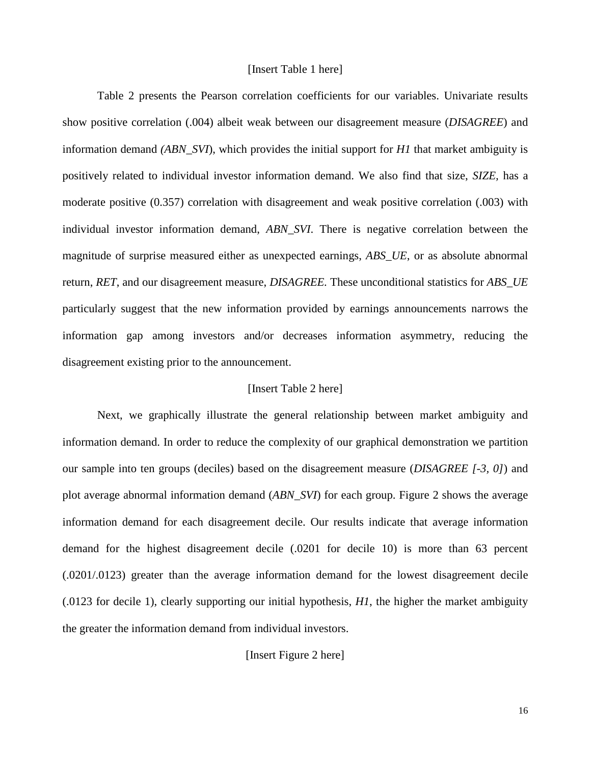#### [Insert Table 1 here]

Table 2 presents the Pearson correlation coefficients for our variables. Univariate results show positive correlation (.004) albeit weak between our disagreement measure (*DISAGREE*) and information demand *(ABN\_SVI*), which provides the initial support for *H1* that market ambiguity is positively related to individual investor information demand. We also find that size, *SIZE,* has a moderate positive (0.357) correlation with disagreement and weak positive correlation (.003) with individual investor information demand, *ABN\_SVI*. There is negative correlation between the magnitude of surprise measured either as unexpected earnings, *ABS\_UE*, or as absolute abnormal return, *RET*, and our disagreement measure, *DISAGREE.* These unconditional statistics for *ABS\_UE* particularly suggest that the new information provided by earnings announcements narrows the information gap among investors and/or decreases information asymmetry, reducing the disagreement existing prior to the announcement.

#### [Insert Table 2 here]

Next, we graphically illustrate the general relationship between market ambiguity and information demand. In order to reduce the complexity of our graphical demonstration we partition our sample into ten groups (deciles) based on the disagreement measure (*DISAGREE [-3, 0]*) and plot average abnormal information demand (*ABN\_SVI*) for each group. Figure 2 shows the average information demand for each disagreement decile. Our results indicate that average information demand for the highest disagreement decile (.0201 for decile 10) is more than 63 percent (.0201/.0123) greater than the average information demand for the lowest disagreement decile (.0123 for decile 1), clearly supporting our initial hypothesis, *H1*, the higher the market ambiguity the greater the information demand from individual investors.

#### [Insert Figure 2 here]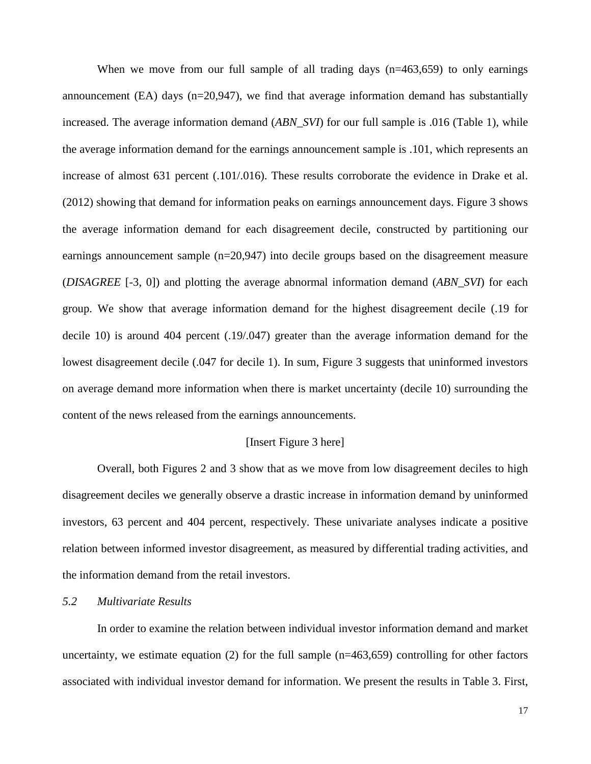When we move from our full sample of all trading days  $(n=463,659)$  to only earnings announcement (EA) days  $(n=20.947)$ , we find that average information demand has substantially increased. The average information demand (*ABN\_SVI*) for our full sample is .016 (Table 1), while the average information demand for the earnings announcement sample is .101, which represents an increase of almost 631 percent (.101/.016). These results corroborate the evidence in Drake et al. (2012) showing that demand for information peaks on earnings announcement days. Figure 3 shows the average information demand for each disagreement decile, constructed by partitioning our earnings announcement sample (n=20,947) into decile groups based on the disagreement measure (*DISAGREE* [-3, 0]) and plotting the average abnormal information demand (*ABN\_SVI*) for each group. We show that average information demand for the highest disagreement decile (.19 for decile 10) is around 404 percent (.19/.047) greater than the average information demand for the lowest disagreement decile (.047 for decile 1). In sum, Figure 3 suggests that uninformed investors on average demand more information when there is market uncertainty (decile 10) surrounding the content of the news released from the earnings announcements.

#### [Insert Figure 3 here]

Overall, both Figures 2 and 3 show that as we move from low disagreement deciles to high disagreement deciles we generally observe a drastic increase in information demand by uninformed investors, 63 percent and 404 percent, respectively. These univariate analyses indicate a positive relation between informed investor disagreement, as measured by differential trading activities, and the information demand from the retail investors.

#### *5.2 Multivariate Results*

In order to examine the relation between individual investor information demand and market uncertainty, we estimate equation  $(2)$  for the full sample  $(n=463,659)$  controlling for other factors associated with individual investor demand for information. We present the results in Table 3. First,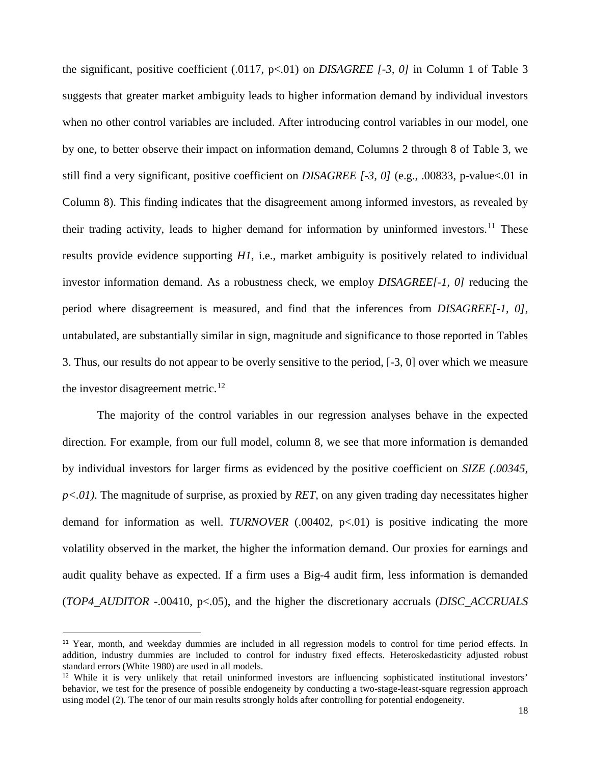the significant, positive coefficient (.0117, p<.01) on *DISAGREE [-3, 0]* in Column 1 of Table 3 suggests that greater market ambiguity leads to higher information demand by individual investors when no other control variables are included. After introducing control variables in our model, one by one, to better observe their impact on information demand, Columns 2 through 8 of Table 3, we still find a very significant, positive coefficient on *DISAGREE [-3, 0]* (e.g., .00833, p-value<.01 in Column 8). This finding indicates that the disagreement among informed investors, as revealed by their trading activity, leads to higher demand for information by uninformed investors.<sup>[11](#page-19-0)</sup> These results provide evidence supporting *H1*, i.e., market ambiguity is positively related to individual investor information demand. As a robustness check, we employ *DISAGREE[-1, 0]* reducing the period where disagreement is measured, and find that the inferences from *DISAGREE[-1, 0],*  untabulated*,* are substantially similar in sign, magnitude and significance to those reported in Tables 3. Thus, our results do not appear to be overly sensitive to the period, [-3, 0] over which we measure the investor disagreement metric.<sup>[12](#page-19-1)</sup>

The majority of the control variables in our regression analyses behave in the expected direction. For example, from our full model, column 8, we see that more information is demanded by individual investors for larger firms as evidenced by the positive coefficient on *SIZE (.00345, p<.01)*. The magnitude of surprise, as proxied by *RET,* on any given trading day necessitates higher demand for information as well. *TURNOVER* (.00402, p<.01) is positive indicating the more volatility observed in the market, the higher the information demand. Our proxies for earnings and audit quality behave as expected. If a firm uses a Big-4 audit firm, less information is demanded (*TOP4\_AUDITOR* -.00410, p<.05), and the higher the discretionary accruals (*DISC\_ACCRUALS*

<span id="page-19-0"></span><sup>&</sup>lt;sup>11</sup> Year, month, and weekday dummies are included in all regression models to control for time period effects. In addition, industry dummies are included to control for industry fixed effects. Heteroskedasticity adjusted robust standard errors (White 1980) are used in all models.

<span id="page-19-1"></span><sup>&</sup>lt;sup>12</sup> While it is very unlikely that retail uninformed investors are influencing sophisticated institutional investors' behavior, we test for the presence of possible endogeneity by conducting a two-stage-least-square regression approach using model (2). The tenor of our main results strongly holds after controlling for potential endogeneity.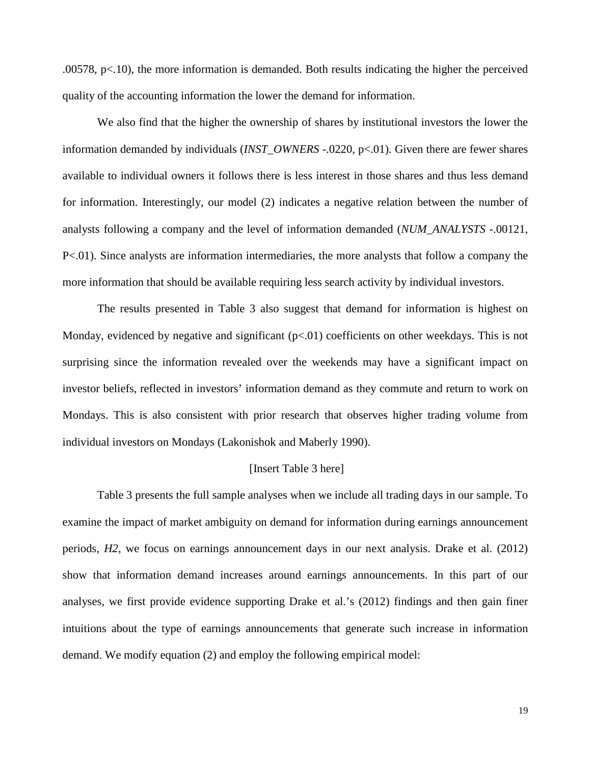.00578, p<.10), the more information is demanded. Both results indicating the higher the perceived quality of the accounting information the lower the demand for information.

We also find that the higher the ownership of shares by institutional investors the lower the information demanded by individuals (*INST\_OWNERS* -.0220, p<.01). Given there are fewer shares available to individual owners it follows there is less interest in those shares and thus less demand for information. Interestingly, our model (2) indicates a negative relation between the number of analysts following a company and the level of information demanded (*NUM\_ANALYSTS* -.00121, P<.01). Since analysts are information intermediaries, the more analysts that follow a company the more information that should be available requiring less search activity by individual investors.

The results presented in Table 3 also suggest that demand for information is highest on Monday, evidenced by negative and significant  $(p<0.01)$  coefficients on other weekdays. This is not surprising since the information revealed over the weekends may have a significant impact on investor beliefs, reflected in investors' information demand as they commute and return to work on Mondays. This is also consistent with prior research that observes higher trading volume from individual investors on Mondays (Lakonishok and Maberly 1990).

#### [Insert Table 3 here]

Table 3 presents the full sample analyses when we include all trading days in our sample. To examine the impact of market ambiguity on demand for information during earnings announcement periods, *H2*, we focus on earnings announcement days in our next analysis. Drake et al. (2012) show that information demand increases around earnings announcements. In this part of our analyses, we first provide evidence supporting Drake et al.'s (2012) findings and then gain finer intuitions about the type of earnings announcements that generate such increase in information demand. We modify equation (2) and employ the following empirical model: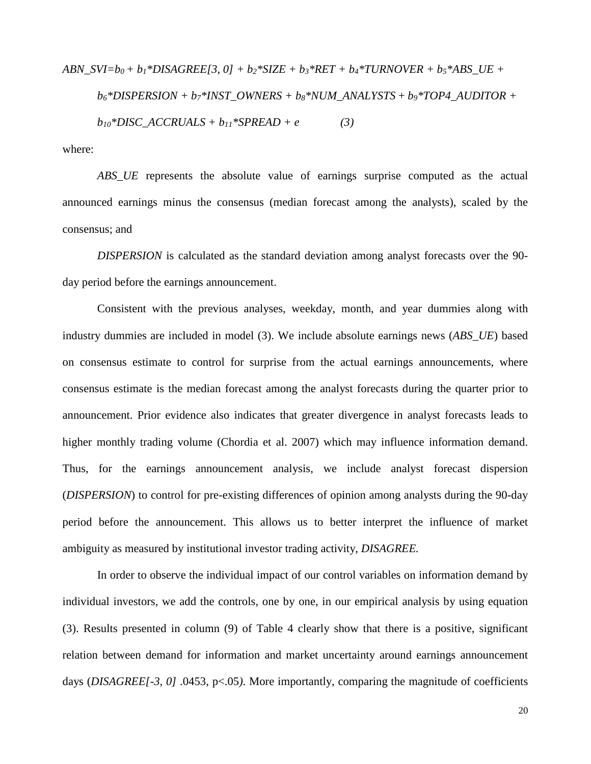$$
ABN\_SVI = b_0 + b_1 * DISAGREE[3, 0] + b_2 * SIZE + b_3 * RET + b_4 * TURNOVER + b_5 * ABS\_UE + b_6 * DISPERSION + b_7 * INST\_OWNERS + b_8 * NUM\_ANALYSIS + b_9 * TOP4\_AUDITION + b_{10} * DISC\_ACCRUALS + b_{11} * SPREAD + e
$$
\n(3)

where:

*ABS\_UE* represents the absolute value of earnings surprise computed as the actual announced earnings minus the consensus (median forecast among the analysts), scaled by the consensus; and

*DISPERSION* is calculated as the standard deviation among analyst forecasts over the 90 day period before the earnings announcement.

Consistent with the previous analyses, weekday, month, and year dummies along with industry dummies are included in model (3). We include absolute earnings news (*ABS\_UE*) based on consensus estimate to control for surprise from the actual earnings announcements, where consensus estimate is the median forecast among the analyst forecasts during the quarter prior to announcement. Prior evidence also indicates that greater divergence in analyst forecasts leads to higher monthly trading volume (Chordia et al. 2007) which may influence information demand. Thus, for the earnings announcement analysis, we include analyst forecast dispersion (*DISPERSION*) to control for pre-existing differences of opinion among analysts during the 90-day period before the announcement. This allows us to better interpret the influence of market ambiguity as measured by institutional investor trading activity, *DISAGREE.* 

In order to observe the individual impact of our control variables on information demand by individual investors, we add the controls, one by one, in our empirical analysis by using equation (3). Results presented in column (9) of Table 4 clearly show that there is a positive, significant relation between demand for information and market uncertainty around earnings announcement days (*DISAGREE[-3, 0]* .0453*,* p<.05*)*. More importantly, comparing the magnitude of coefficients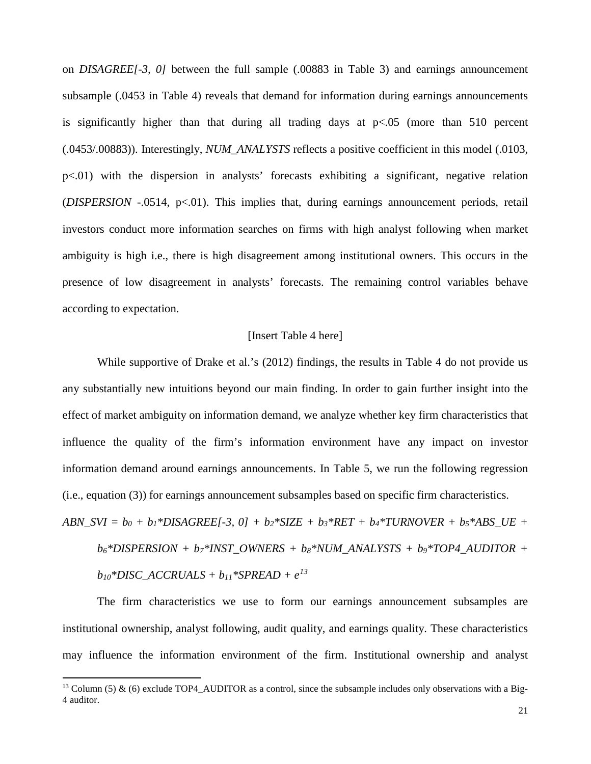on *DISAGREE[-3, 0]* between the full sample (.00883 in Table 3) and earnings announcement subsample (.0453 in Table 4) reveals that demand for information during earnings announcements is significantly higher than that during all trading days at  $p<.05$  (more than 510 percent (.0453/.00883)). Interestingly, *NUM\_ANALYSTS* reflects a positive coefficient in this model (.0103, p<.01) with the dispersion in analysts' forecasts exhibiting a significant, negative relation (*DISPERSION* -.0514, p<.01). This implies that, during earnings announcement periods, retail investors conduct more information searches on firms with high analyst following when market ambiguity is high i.e., there is high disagreement among institutional owners. This occurs in the presence of low disagreement in analysts' forecasts. The remaining control variables behave according to expectation.

#### [Insert Table 4 here]

While supportive of Drake et al.'s (2012) findings, the results in Table 4 do not provide us any substantially new intuitions beyond our main finding. In order to gain further insight into the effect of market ambiguity on information demand, we analyze whether key firm characteristics that influence the quality of the firm's information environment have any impact on investor information demand around earnings announcements. In Table 5, we run the following regression (i.e., equation (3)) for earnings announcement subsamples based on specific firm characteristics.

 $ABN_SVI = b_0 + b_1 * DISAGREE[-3, 0] + b_2 * SIZE + b_3 * RET + b_4 * TURNOVER + b_5 * ABS_UE +$ *b6\*DISPERSION + b7\*INST\_OWNERS + b8\*NUM\_ANALYSTS + b9\*TOP4\_AUDITOR +*   $b_{10}$ \*DISC\_ACCRUALS +  $b_{11}$ \*SPREAD +  $e^{13}$  $e^{13}$  $e^{13}$ 

The firm characteristics we use to form our earnings announcement subsamples are institutional ownership, analyst following, audit quality, and earnings quality. These characteristics may influence the information environment of the firm. Institutional ownership and analyst

<span id="page-22-0"></span><sup>&</sup>lt;sup>13</sup> Column (5) & (6) exclude TOP4 AUDITOR as a control, since the subsample includes only observations with a Big-4 auditor.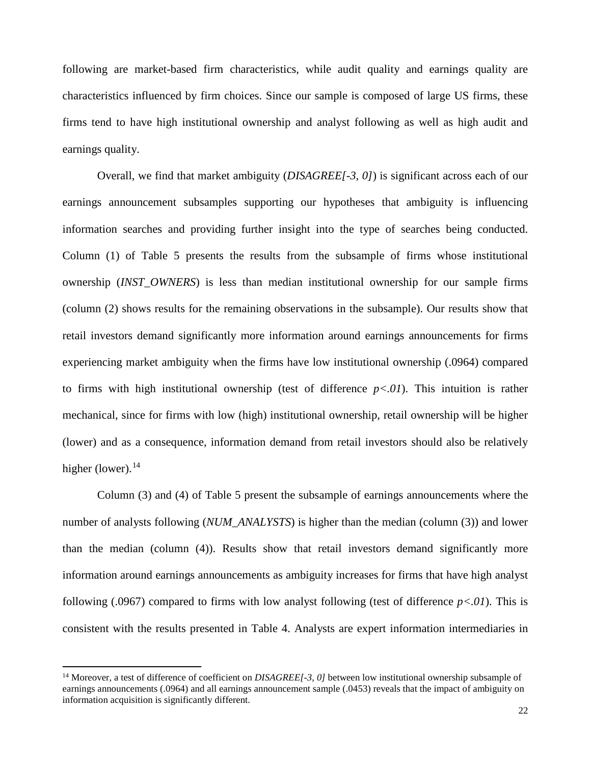following are market-based firm characteristics, while audit quality and earnings quality are characteristics influenced by firm choices. Since our sample is composed of large US firms, these firms tend to have high institutional ownership and analyst following as well as high audit and earnings quality.

Overall, we find that market ambiguity (*DISAGREE[-3, 0]*) is significant across each of our earnings announcement subsamples supporting our hypotheses that ambiguity is influencing information searches and providing further insight into the type of searches being conducted. Column (1) of Table 5 presents the results from the subsample of firms whose institutional ownership (*INST\_OWNERS*) is less than median institutional ownership for our sample firms (column (2) shows results for the remaining observations in the subsample). Our results show that retail investors demand significantly more information around earnings announcements for firms experiencing market ambiguity when the firms have low institutional ownership (.0964) compared to firms with high institutional ownership (test of difference *p<.01*). This intuition is rather mechanical, since for firms with low (high) institutional ownership, retail ownership will be higher (lower) and as a consequence, information demand from retail investors should also be relatively higher (lower). $14$ 

Column (3) and (4) of Table 5 present the subsample of earnings announcements where the number of analysts following (*NUM\_ANALYSTS*) is higher than the median (column (3)) and lower than the median (column (4)). Results show that retail investors demand significantly more information around earnings announcements as ambiguity increases for firms that have high analyst following (.0967) compared to firms with low analyst following (test of difference *p<.01*). This is consistent with the results presented in Table 4. Analysts are expert information intermediaries in

<span id="page-23-0"></span><sup>&</sup>lt;sup>14</sup> Moreover, a test of difference of coefficient on *DISAGREE[-3, 0]* between low institutional ownership subsample of earnings announcements (.0964) and all earnings announcement sample (.0453) reveals that the impact of ambiguity on information acquisition is significantly different.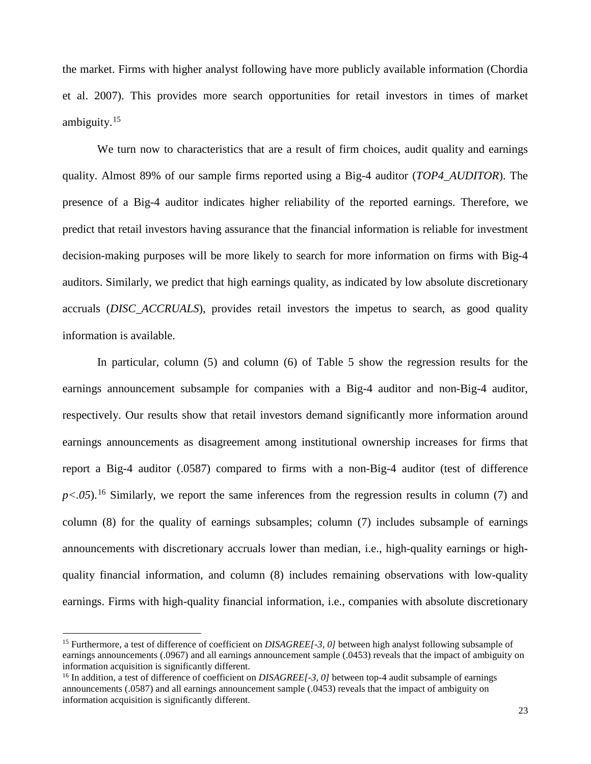the market. Firms with higher analyst following have more publicly available information (Chordia et al. 2007). This provides more search opportunities for retail investors in times of market ambiguity.[15](#page-24-0)

We turn now to characteristics that are a result of firm choices, audit quality and earnings quality. Almost 89% of our sample firms reported using a Big-4 auditor (*TOP4\_AUDITOR*). The presence of a Big-4 auditor indicates higher reliability of the reported earnings. Therefore, we predict that retail investors having assurance that the financial information is reliable for investment decision-making purposes will be more likely to search for more information on firms with Big-4 auditors. Similarly, we predict that high earnings quality, as indicated by low absolute discretionary accruals (*DISC\_ACCRUALS*), provides retail investors the impetus to search, as good quality information is available.

In particular, column (5) and column (6) of Table 5 show the regression results for the earnings announcement subsample for companies with a Big-4 auditor and non-Big-4 auditor, respectively. Our results show that retail investors demand significantly more information around earnings announcements as disagreement among institutional ownership increases for firms that report a Big-4 auditor (.0587) compared to firms with a non-Big-4 auditor (test of difference  $p<.05$ ).<sup>[16](#page-24-1)</sup> Similarly, we report the same inferences from the regression results in column (7) and column (8) for the quality of earnings subsamples; column (7) includes subsample of earnings announcements with discretionary accruals lower than median, i.e., high-quality earnings or highquality financial information, and column (8) includes remaining observations with low-quality earnings. Firms with high-quality financial information, i.e., companies with absolute discretionary

<span id="page-24-0"></span><sup>&</sup>lt;sup>15</sup> Furthermore, a test of difference of coefficient on *DISAGREE[-3, 0]* between high analyst following subsample of earnings announcements (.0967) and all earnings announcement sample (.0453) reveals that the impact of ambiguity on information acquisition is significantly different.

<span id="page-24-1"></span><sup>&</sup>lt;sup>16</sup> In addition, a test of difference of coefficient on *DISAGREE[-3, 0]* between top-4 audit subsample of earnings announcements (.0587) and all earnings announcement sample (.0453) reveals that the impact of ambiguity on information acquisition is significantly different.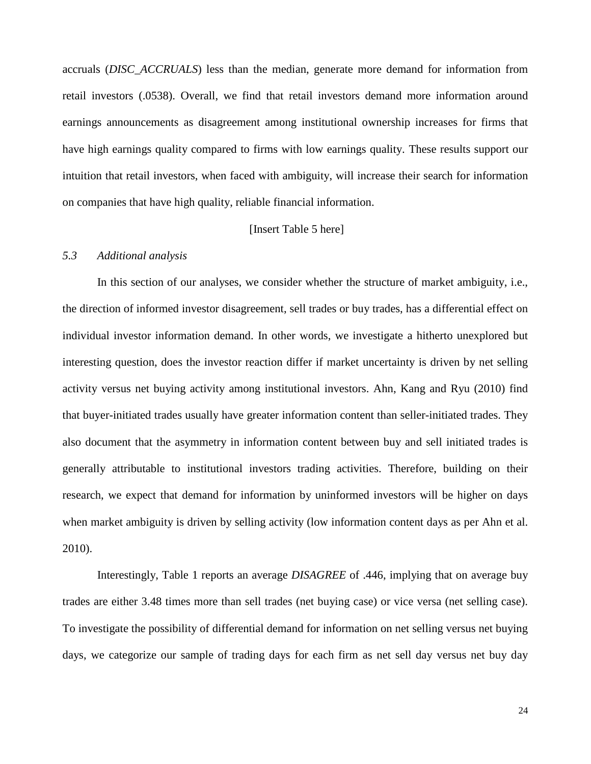accruals (*DISC\_ACCRUALS*) less than the median, generate more demand for information from retail investors (.0538). Overall, we find that retail investors demand more information around earnings announcements as disagreement among institutional ownership increases for firms that have high earnings quality compared to firms with low earnings quality. These results support our intuition that retail investors, when faced with ambiguity, will increase their search for information on companies that have high quality, reliable financial information.

#### [Insert Table 5 here]

#### *5.3 Additional analysis*

In this section of our analyses, we consider whether the structure of market ambiguity, i.e., the direction of informed investor disagreement, sell trades or buy trades, has a differential effect on individual investor information demand. In other words, we investigate a hitherto unexplored but interesting question, does the investor reaction differ if market uncertainty is driven by net selling activity versus net buying activity among institutional investors. Ahn, Kang and Ryu (2010) find that buyer-initiated trades usually have greater information content than seller-initiated trades. They also document that the asymmetry in information content between buy and sell initiated trades is generally attributable to institutional investors trading activities. Therefore, building on their research, we expect that demand for information by uninformed investors will be higher on days when market ambiguity is driven by selling activity (low information content days as per Ahn et al. 2010).

Interestingly, Table 1 reports an average *DISAGREE* of .446, implying that on average buy trades are either 3.48 times more than sell trades (net buying case) or vice versa (net selling case). To investigate the possibility of differential demand for information on net selling versus net buying days, we categorize our sample of trading days for each firm as net sell day versus net buy day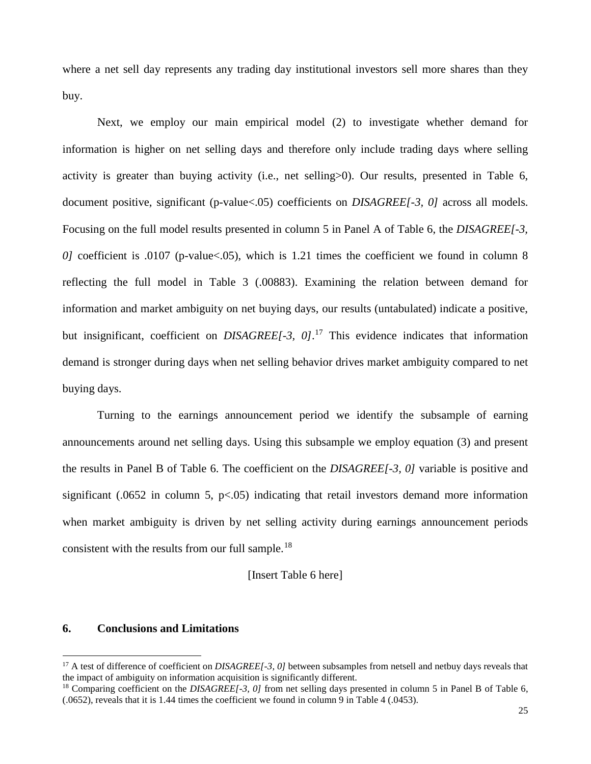where a net sell day represents any trading day institutional investors sell more shares than they buy.

Next, we employ our main empirical model (2) to investigate whether demand for information is higher on net selling days and therefore only include trading days where selling activity is greater than buying activity (i.e., net selling>0). Our results, presented in Table 6, document positive, significant (p-value<.05) coefficients on *DISAGREE[-3, 0]* across all models. Focusing on the full model results presented in column 5 in Panel A of Table 6, the *DISAGREE[-3, 0]* coefficient is .0107 (p-value <.05), which is 1.21 times the coefficient we found in column 8 reflecting the full model in Table 3 (.00883). Examining the relation between demand for information and market ambiguity on net buying days, our results (untabulated) indicate a positive, but insignificant, coefficient on *DISAGREE[-3, 0]*. [17](#page-26-0) This evidence indicates that information demand is stronger during days when net selling behavior drives market ambiguity compared to net buying days.

Turning to the earnings announcement period we identify the subsample of earning announcements around net selling days. Using this subsample we employ equation (3) and present the results in Panel B of Table 6. The coefficient on the *DISAGREE[-3, 0]* variable is positive and significant (.0652 in column 5,  $p<0.05$ ) indicating that retail investors demand more information when market ambiguity is driven by net selling activity during earnings announcement periods consistent with the results from our full sample.<sup>[18](#page-26-1)</sup>

[Insert Table 6 here]

#### **6. Conclusions and Limitations**

<span id="page-26-0"></span><sup>&</sup>lt;sup>17</sup> A test of difference of coefficient on *DISAGREE[-3, 0]* between subsamples from netsell and netbuy days reveals that the impact of ambiguity on information acquisition is significantly different.

<span id="page-26-1"></span><sup>&</sup>lt;sup>18</sup> Comparing coefficient on the *DISAGREE[-3, 0]* from net selling days presented in column 5 in Panel B of Table 6, (.0652), reveals that it is 1.44 times the coefficient we found in column 9 in Table 4 (.0453).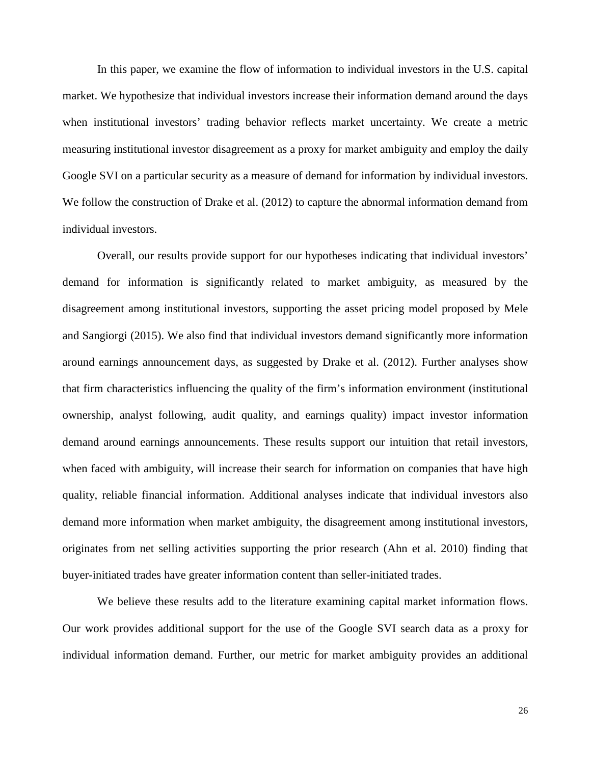In this paper, we examine the flow of information to individual investors in the U.S. capital market. We hypothesize that individual investors increase their information demand around the days when institutional investors' trading behavior reflects market uncertainty. We create a metric measuring institutional investor disagreement as a proxy for market ambiguity and employ the daily Google SVI on a particular security as a measure of demand for information by individual investors. We follow the construction of Drake et al. (2012) to capture the abnormal information demand from individual investors.

Overall, our results provide support for our hypotheses indicating that individual investors' demand for information is significantly related to market ambiguity, as measured by the disagreement among institutional investors, supporting the asset pricing model proposed by Mele and Sangiorgi (2015). We also find that individual investors demand significantly more information around earnings announcement days, as suggested by Drake et al. (2012). Further analyses show that firm characteristics influencing the quality of the firm's information environment (institutional ownership, analyst following, audit quality, and earnings quality) impact investor information demand around earnings announcements. These results support our intuition that retail investors, when faced with ambiguity, will increase their search for information on companies that have high quality, reliable financial information. Additional analyses indicate that individual investors also demand more information when market ambiguity, the disagreement among institutional investors, originates from net selling activities supporting the prior research (Ahn et al. 2010) finding that buyer-initiated trades have greater information content than seller-initiated trades.

We believe these results add to the literature examining capital market information flows. Our work provides additional support for the use of the Google SVI search data as a proxy for individual information demand. Further, our metric for market ambiguity provides an additional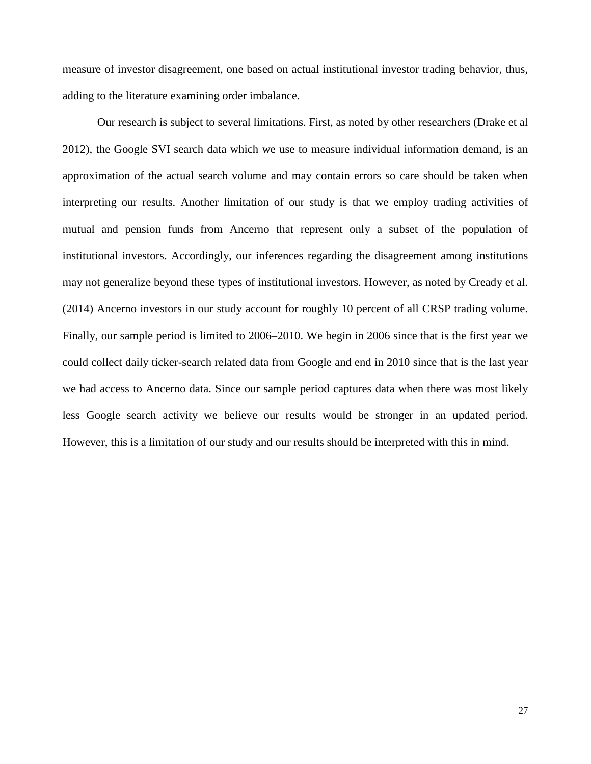measure of investor disagreement, one based on actual institutional investor trading behavior, thus, adding to the literature examining order imbalance.

Our research is subject to several limitations. First, as noted by other researchers (Drake et al 2012), the Google SVI search data which we use to measure individual information demand, is an approximation of the actual search volume and may contain errors so care should be taken when interpreting our results. Another limitation of our study is that we employ trading activities of mutual and pension funds from Ancerno that represent only a subset of the population of institutional investors. Accordingly, our inferences regarding the disagreement among institutions may not generalize beyond these types of institutional investors. However, as noted by Cready et al. (2014) Ancerno investors in our study account for roughly 10 percent of all CRSP trading volume. Finally, our sample period is limited to 2006–2010. We begin in 2006 since that is the first year we could collect daily ticker-search related data from Google and end in 2010 since that is the last year we had access to Ancerno data. Since our sample period captures data when there was most likely less Google search activity we believe our results would be stronger in an updated period. However, this is a limitation of our study and our results should be interpreted with this in mind.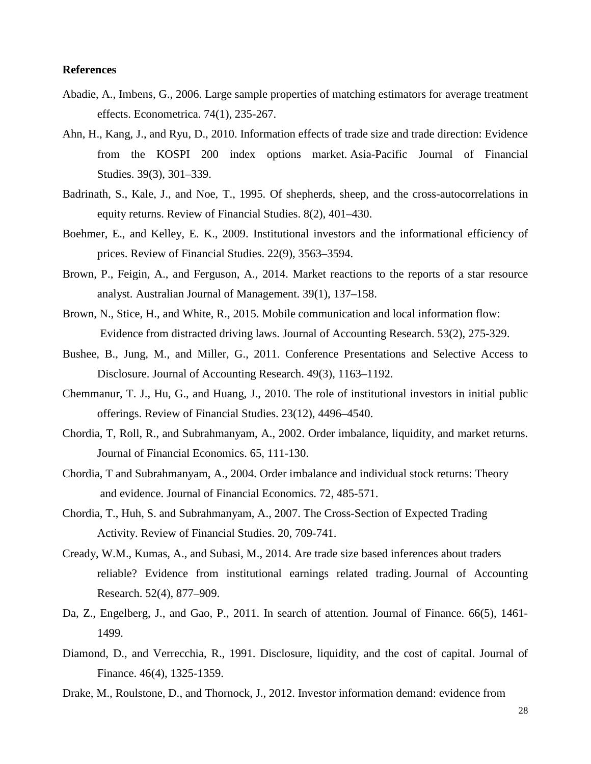#### **References**

- Abadie, A., Imbens, G., 2006. Large sample properties of matching estimators for average treatment effects. Econometrica. 74(1), 235-267.
- Ahn, H., Kang, J., and Ryu, D., 2010. Information effects of trade size and trade direction: Evidence from the KOSPI 200 index options market. Asia-Pacific Journal of Financial Studies. 39(3), 301–339.
- Badrinath, S., Kale, J., and Noe, T., 1995. Of shepherds, sheep, and the cross-autocorrelations in equity returns. Review of Financial Studies. 8(2), 401–430.
- Boehmer, E., and Kelley, E. K., 2009. Institutional investors and the informational efficiency of prices. Review of Financial Studies. 22(9), 3563–3594.
- Brown, P., Feigin, A., and Ferguson, A., 2014. Market reactions to the reports of a star resource analyst. Australian Journal of Management. 39(1), 137–158.
- Brown, N., Stice, H., and White, R., 2015. Mobile communication and local information flow: Evidence from distracted driving laws. Journal of Accounting Research. 53(2), 275-329.
- Bushee, B., Jung, M., and Miller, G., 2011. Conference Presentations and Selective Access to Disclosure. Journal of Accounting Research. 49(3), 1163–1192.
- Chemmanur, T. J., Hu, G., and Huang, J., 2010. The role of institutional investors in initial public offerings. Review of Financial Studies. 23(12), 4496–4540.
- Chordia, T, Roll, R., and Subrahmanyam, A., 2002. Order imbalance, liquidity, and market returns. Journal of Financial Economics. 65, 111-130.
- Chordia, T and Subrahmanyam, A., 2004. Order imbalance and individual stock returns: Theory and evidence. Journal of Financial Economics. 72, 485-571.
- Chordia, T., Huh, S. and Subrahmanyam, A., 2007. The Cross-Section of Expected Trading Activity. Review of Financial Studies. 20, 709-741.
- Cready, W.M., Kumas, A., and Subasi, M., 2014. Are trade size based inferences about traders reliable? Evidence from institutional earnings related trading. Journal of Accounting Research. 52(4), 877–909.
- Da, Z., Engelberg, J., and Gao, P., 2011. In search of attention. Journal of Finance. 66(5), 1461- 1499.
- Diamond, D., and Verrecchia, R., 1991. Disclosure, liquidity, and the cost of capital. Journal of Finance. 46(4), 1325-1359.
- Drake, M., Roulstone, D., and Thornock, J., 2012. Investor information demand: evidence from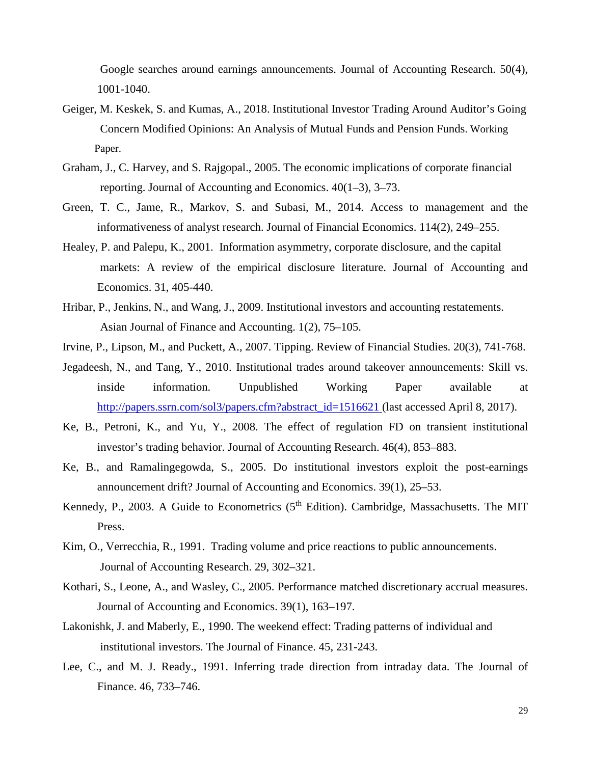Google searches around earnings announcements. Journal of Accounting Research. 50(4), 1001-1040.

- Geiger, M. Keskek, S. and Kumas, A., 2018. Institutional Investor Trading Around Auditor's Going Concern Modified Opinions: An Analysis of Mutual Funds and Pension Funds. Working Paper.
- Graham, J., C. Harvey, and S. Rajgopal., 2005. The economic implications of corporate financial reporting. Journal of Accounting and Economics. 40(1–3), 3–73.
- Green, T. C., Jame, R., Markov, S. and Subasi, M., 2014. Access to management and the informativeness of analyst research. Journal of Financial Economics. 114(2), 249–255.
- Healey, P. and Palepu, K., 2001. Information asymmetry, corporate disclosure, and the capital markets: A review of the empirical disclosure literature. Journal of Accounting and Economics. 31, 405-440.
- Hribar, P., Jenkins, N., and Wang, J., 2009. Institutional investors and accounting restatements. Asian Journal of Finance and Accounting. 1(2), 75–105.
- Irvine, P., Lipson, M., and Puckett, A., 2007. Tipping. Review of Financial Studies. 20(3), 741-768.
- Jegadeesh, N., and Tang, Y., 2010. Institutional trades around takeover announcements: Skill vs. inside information. Unpublished Working Paper available at [http://papers.ssrn.com/sol3/papers.cfm?abstract\\_id=1516621](http://papers.ssrn.com/sol3/papers.cfm?abstract_id=1516621) (last accessed April 8, 2017).
- Ke, B., Petroni, K., and Yu, Y., 2008. The effect of regulation FD on transient institutional investor's trading behavior. Journal of Accounting Research. 46(4), 853–883.
- Ke, B., and Ramalingegowda, S., 2005. Do institutional investors exploit the post-earnings announcement drift? Journal of Accounting and Economics. 39(1), 25–53.
- Kennedy, P., 2003. A Guide to Econometrics  $(5<sup>th</sup> Edition)$ . Cambridge, Massachusetts. The MIT Press.
- Kim, O., Verrecchia, R., 1991. Trading volume and price reactions to public announcements. Journal of Accounting Research. 29, 302–321.
- Kothari, S., Leone, A., and Wasley, C., 2005. Performance matched discretionary accrual measures. Journal of Accounting and Economics. 39(1), 163–197.
- Lakonishk, J. and Maberly, E., 1990. The weekend effect: Trading patterns of individual and institutional investors. The Journal of Finance. 45, 231-243.
- Lee, C., and M. J. Ready., 1991. Inferring trade direction from intraday data. The Journal of Finance. 46, 733–746.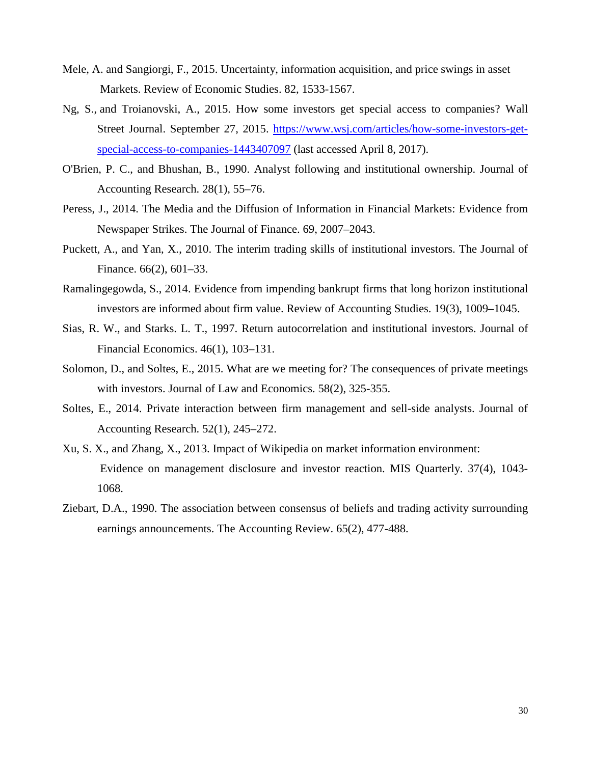- Mele, A. and Sangiorgi, F., 2015. Uncertainty, information acquisition, and price swings in asset Markets. Review of Economic Studies. 82, 1533-1567.
- Ng, S., and Troianovski, A., 2015. How some investors get special access to companies? Wall Street Journal. September 27, 2015. [https://www.wsj.com/articles/how-some-investors-get](https://www.wsj.com/articles/how-some-investors-get-special-access-to-companies-1443407097)[special-access-to-companies-1443407097](https://www.wsj.com/articles/how-some-investors-get-special-access-to-companies-1443407097) (last accessed April 8, 2017).
- O'Brien, P. C., and Bhushan, B., 1990. Analyst following and institutional ownership. Journal of Accounting Research. 28(1), 55–76.
- Peress, J., 2014. The Media and the Diffusion of Information in Financial Markets: Evidence from Newspaper Strikes. The Journal of Finance. 69, 2007–2043.
- Puckett, A., and Yan, X., 2010. The interim trading skills of institutional investors. The Journal of Finance. 66(2), 601–33.
- Ramalingegowda, S., 2014. Evidence from impending bankrupt firms that long horizon institutional investors are informed about firm value. Review of Accounting Studies. 19(3), 1009**–**1045.
- Sias, R. W., and Starks. L. T., 1997. Return autocorrelation and institutional investors. Journal of Financial Economics. 46(1), 103–131.
- Solomon, D., and Soltes, E., 2015. What are we meeting for? The consequences of private meetings with investors. Journal of Law and Economics. 58(2), 325-355.
- Soltes, E., 2014. Private interaction between firm management and sell-side analysts. Journal of Accounting Research. 52(1), 245–272.
- Xu, S. X., and Zhang, X., 2013. Impact of Wikipedia on market information environment: Evidence on management disclosure and investor reaction. MIS Quarterly. 37(4), 1043- 1068.
- Ziebart, D.A., 1990. The association between consensus of beliefs and trading activity surrounding earnings announcements. The Accounting Review. 65(2), 477-488.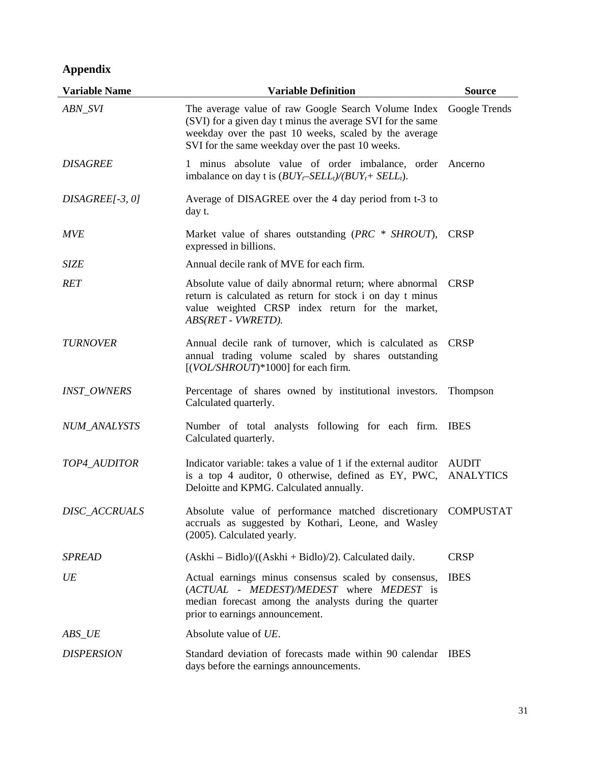## **Appendix**

| <b>Variable Name</b> | <b>Variable Definition</b>                                                                                                                                                                                                     | <b>Source</b>                    |
|----------------------|--------------------------------------------------------------------------------------------------------------------------------------------------------------------------------------------------------------------------------|----------------------------------|
| ABN_SVI              | The average value of raw Google Search Volume Index<br>(SVI) for a given day t minus the average SVI for the same<br>weekday over the past 10 weeks, scaled by the average<br>SVI for the same weekday over the past 10 weeks. | Google Trends                    |
| <b>DISAGREE</b>      | 1 minus absolute value of order imbalance, order Ancerno<br>imbalance on day t is $(BUY_t$ -SELL <sub>t</sub> )/(BUY <sub>t</sub> + SELL <sub>t</sub> ).                                                                       |                                  |
| $DISAGREE[-3, 0]$    | Average of DISAGREE over the 4 day period from t-3 to<br>day t.                                                                                                                                                                |                                  |
| <b>MVE</b>           | Market value of shares outstanding $(PRC \cdot SHROUT)$ ,<br>expressed in billions.                                                                                                                                            | <b>CRSP</b>                      |
| <b>SIZE</b>          | Annual decile rank of MVE for each firm.                                                                                                                                                                                       |                                  |
| <b>RET</b>           | Absolute value of daily abnormal return; where abnormal<br>return is calculated as return for stock i on day t minus<br>value weighted CRSP index return for the market,<br>ABS(RET - VWRETD).                                 | <b>CRSP</b>                      |
| <b>TURNOVER</b>      | Annual decile rank of turnover, which is calculated as<br>annual trading volume scaled by shares outstanding<br>[(VOL/SHROUT)*1000] for each firm.                                                                             | <b>CRSP</b>                      |
| <b>INST_OWNERS</b>   | Percentage of shares owned by institutional investors.<br>Calculated quarterly.                                                                                                                                                | Thompson                         |
| NUM_ANALYSTS         | Number of total analysts following for each firm.<br>Calculated quarterly.                                                                                                                                                     | <b>IBES</b>                      |
| TOP4_AUDITOR         | Indicator variable: takes a value of 1 if the external auditor<br>is a top 4 auditor, 0 otherwise, defined as EY, PWC,<br>Deloitte and KPMG. Calculated annually.                                                              | <b>AUDIT</b><br><b>ANALYTICS</b> |
| <b>DISC ACCRUALS</b> | Absolute value of performance matched discretionary<br>accruals as suggested by Kothari, Leone, and Wasley<br>(2005). Calculated yearly.                                                                                       | <b>COMPUSTAT</b>                 |
| <b>SPREAD</b>        | $(Askhi - Bidlo)/((Askhi + Bidlo)/2)$ . Calculated daily.                                                                                                                                                                      | <b>CRSP</b>                      |
| UE                   | Actual earnings minus consensus scaled by consensus,<br>(ACTUAL - MEDEST)/MEDEST where MEDEST is<br>median forecast among the analysts during the quarter<br>prior to earnings announcement.                                   | <b>IBES</b>                      |
| ABS_UE               | Absolute value of UE.                                                                                                                                                                                                          |                                  |
| <b>DISPERSION</b>    | Standard deviation of forecasts made within 90 calendar<br>days before the earnings announcements.                                                                                                                             | <b>IBES</b>                      |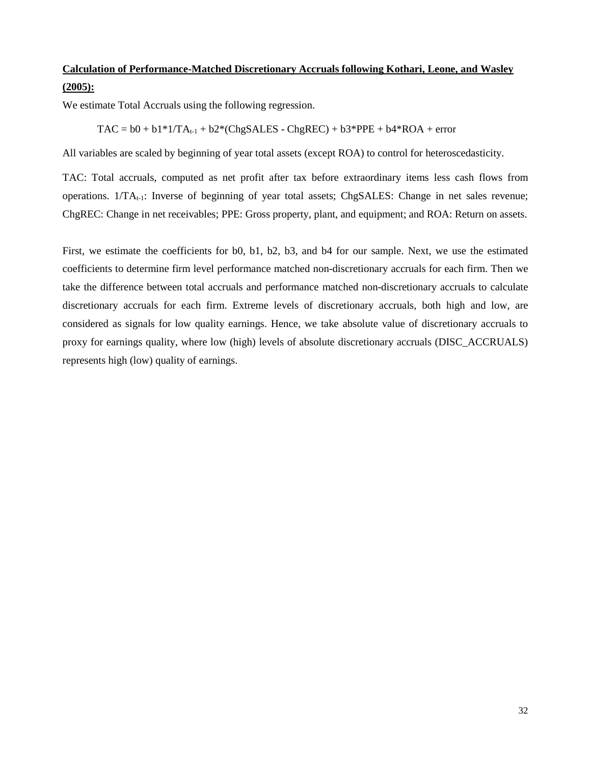### **Calculation of Performance-Matched Discretionary Accruals following Kothari, Leone, and Wasley (2005):**

We estimate Total Accruals using the following regression.

 $TAC = b0 + b1*1/TA_{t-1} + b2*(ChgSALES - ChgREC) + b3*PPE + b4*ROA + error$ 

All variables are scaled by beginning of year total assets (except ROA) to control for heteroscedasticity.

TAC: Total accruals, computed as net profit after tax before extraordinary items less cash flows from operations. 1/TA<sub>t-1</sub>: Inverse of beginning of year total assets; ChgSALES: Change in net sales revenue; ChgREC: Change in net receivables; PPE: Gross property, plant, and equipment; and ROA: Return on assets.

First, we estimate the coefficients for b0, b1, b2, b3, and b4 for our sample. Next, we use the estimated coefficients to determine firm level performance matched non-discretionary accruals for each firm. Then we take the difference between total accruals and performance matched non-discretionary accruals to calculate discretionary accruals for each firm. Extreme levels of discretionary accruals, both high and low, are considered as signals for low quality earnings. Hence, we take absolute value of discretionary accruals to proxy for earnings quality, where low (high) levels of absolute discretionary accruals (DISC\_ACCRUALS) represents high (low) quality of earnings.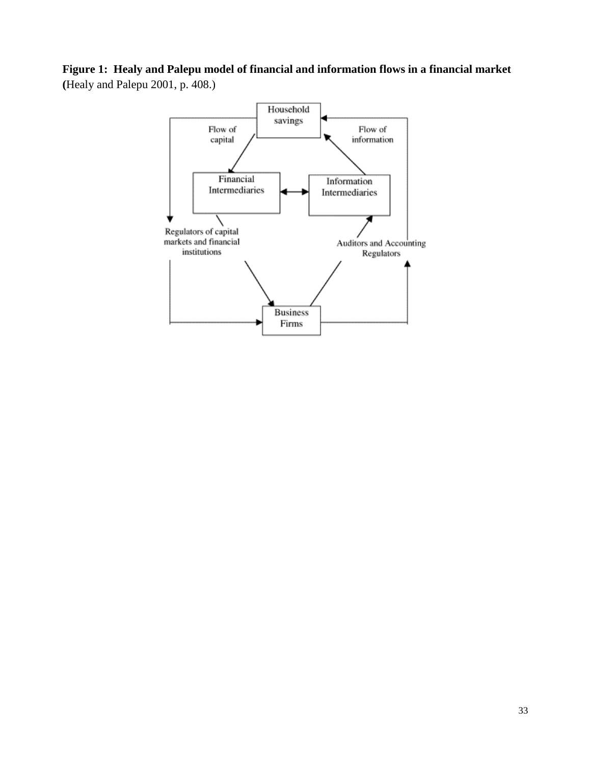**Figure 1: Healy and Palepu model of financial and information flows in a financial market (**Healy and Palepu 2001, p. 408.)

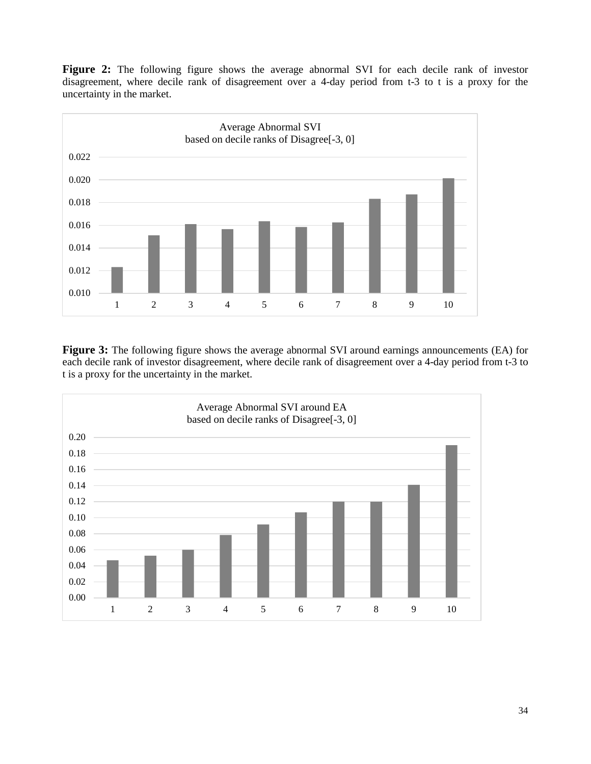Figure 2: The following figure shows the average abnormal SVI for each decile rank of investor disagreement, where decile rank of disagreement over a 4-day period from t-3 to t is a proxy for the uncertainty in the market.



**Figure 3:** The following figure shows the average abnormal SVI around earnings announcements (EA) for each decile rank of investor disagreement, where decile rank of disagreement over a 4-day period from t-3 to t is a proxy for the uncertainty in the market.

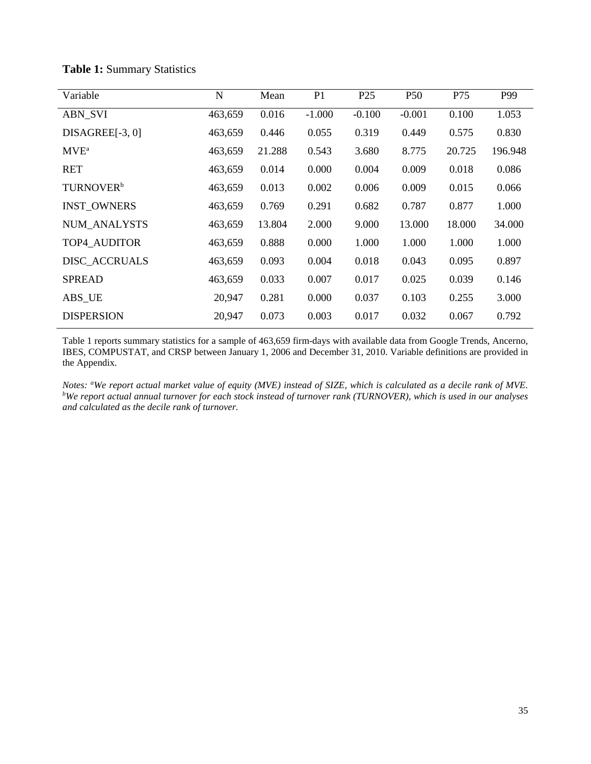| Variable              | N       | Mean   | P <sub>1</sub> | P <sub>25</sub> | P <sub>50</sub> | P75    | P99     |
|-----------------------|---------|--------|----------------|-----------------|-----------------|--------|---------|
| <b>ABN_SVI</b>        | 463,659 | 0.016  | $-1.000$       | $-0.100$        | $-0.001$        | 0.100  | 1.053   |
| $DISAGREE[-3, 0]$     | 463,659 | 0.446  | 0.055          | 0.319           | 0.449           | 0.575  | 0.830   |
| $MVE^a$               | 463,659 | 21.288 | 0.543          | 3.680           | 8.775           | 20.725 | 196.948 |
| <b>RET</b>            | 463,659 | 0.014  | 0.000          | 0.004           | 0.009           | 0.018  | 0.086   |
| TURNOVER <sup>b</sup> | 463,659 | 0.013  | 0.002          | 0.006           | 0.009           | 0.015  | 0.066   |
| <b>INST OWNERS</b>    | 463,659 | 0.769  | 0.291          | 0.682           | 0.787           | 0.877  | 1.000   |
| <b>NUM ANALYSTS</b>   | 463,659 | 13.804 | 2.000          | 9.000           | 13.000          | 18.000 | 34.000  |
| TOP4_AUDITOR          | 463,659 | 0.888  | 0.000          | 1.000           | 1.000           | 1.000  | 1.000   |
| DISC_ACCRUALS         | 463,659 | 0.093  | 0.004          | 0.018           | 0.043           | 0.095  | 0.897   |
| <b>SPREAD</b>         | 463,659 | 0.033  | 0.007          | 0.017           | 0.025           | 0.039  | 0.146   |
| ABS_UE                | 20,947  | 0.281  | 0.000          | 0.037           | 0.103           | 0.255  | 3.000   |
| <b>DISPERSION</b>     | 20,947  | 0.073  | 0.003          | 0.017           | 0.032           | 0.067  | 0.792   |

#### **Table 1:** Summary Statistics

Table 1 reports summary statistics for a sample of 463,659 firm-days with available data from Google Trends, Ancerno, IBES, COMPUSTAT, and CRSP between January 1, 2006 and December 31, 2010. Variable definitions are provided in the Appendix.

*Notes:* "We report actual market value of equity (MVE) instead of SIZE, which is calculated as a decile rank of MVE.<br><sup>b</sup>We report actual annual turnover for each stock instead of turnover rank (THRNOVER), which is used in *We report actual annual turnover for each stock instead of turnover rank (TURNOVER), which is used in our analyses and calculated as the decile rank of turnover.*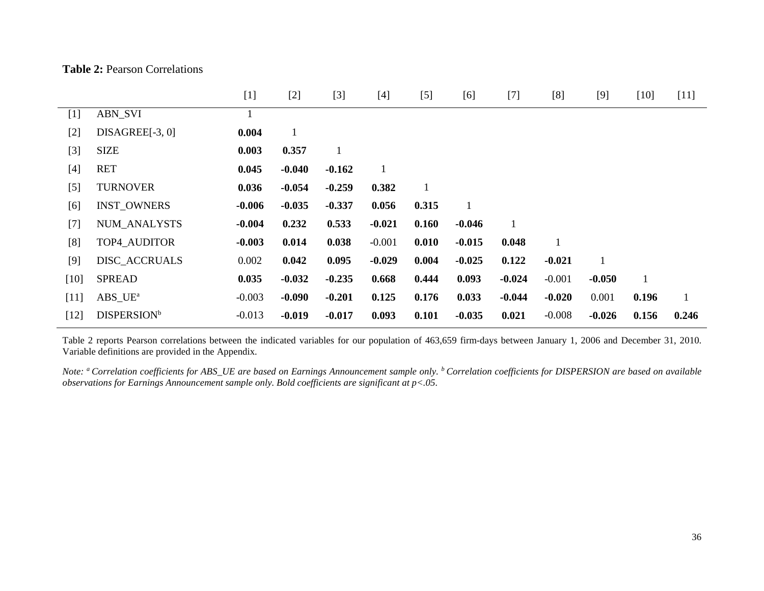|  |  | <b>Table 2: Pearson Correlations</b> |
|--|--|--------------------------------------|
|--|--|--------------------------------------|

|        |                                  | $[1]$    | $[2]$        | $[3]$    | $[4]$    | $[5]$        | [6]          | $[7]$        | [8]      | $[9]$    | $[10]$ | $[11]$       |
|--------|----------------------------------|----------|--------------|----------|----------|--------------|--------------|--------------|----------|----------|--------|--------------|
| $[1]$  | <b>ABN_SVI</b>                   |          |              |          |          |              |              |              |          |          |        |              |
| $[2]$  | $DISAGREE[-3, 0]$                | 0.004    | $\mathbf{1}$ |          |          |              |              |              |          |          |        |              |
| $[3]$  | <b>SIZE</b>                      | 0.003    | 0.357        | 1        |          |              |              |              |          |          |        |              |
| $[4]$  | <b>RET</b>                       | 0.045    | $-0.040$     | $-0.162$ | 1        |              |              |              |          |          |        |              |
| $[5]$  | <b>TURNOVER</b>                  | 0.036    | $-0.054$     | $-0.259$ | 0.382    | $\mathbf{1}$ |              |              |          |          |        |              |
| [6]    | <b>INST OWNERS</b>               | $-0.006$ | $-0.035$     | $-0.337$ | 0.056    | 0.315        | $\mathbf{1}$ |              |          |          |        |              |
| $[7]$  | NUM_ANALYSTS                     | -0.004   | 0.232        | 0.533    | $-0.021$ | 0.160        | $-0.046$     | $\mathbf{1}$ |          |          |        |              |
| [8]    | TOP4_AUDITOR                     | $-0.003$ | 0.014        | 0.038    | $-0.001$ | 0.010        | $-0.015$     | 0.048        |          |          |        |              |
| $[9]$  | DISC_ACCRUALS                    | 0.002    | 0.042        | 0.095    | $-0.029$ | 0.004        | $-0.025$     | 0.122        | $-0.021$ |          |        |              |
| $[10]$ | <b>SPREAD</b>                    | 0.035    | $-0.032$     | $-0.235$ | 0.668    | 0.444        | 0.093        | $-0.024$     | $-0.001$ | $-0.050$ |        |              |
| $[11]$ | $ABS$ <sub>_UE<sup>a</sup></sub> | $-0.003$ | $-0.090$     | $-0.201$ | 0.125    | 0.176        | 0.033        | $-0.044$     | $-0.020$ | 0.001    | 0.196  | $\mathbf{1}$ |
| $[12]$ | <b>DISPERSION</b> <sup>b</sup>   | $-0.013$ | $-0.019$     | $-0.017$ | 0.093    | 0.101        | $-0.035$     | 0.021        | $-0.008$ | $-0.026$ | 0.156  | 0.246        |

Table 2 reports Pearson correlations between the indicated variables for our population of 463,659 firm-days between January 1, 2006 and December 31, 2010. Variable definitions are provided in the Appendix.

*Note: a Correlation coefficients for ABS\_UE are based on Earnings Announcement sample only. b Correlation coefficients for DISPERSION are based on available observations for Earnings Announcement sample only. Bold coefficients are significant at p<.05.*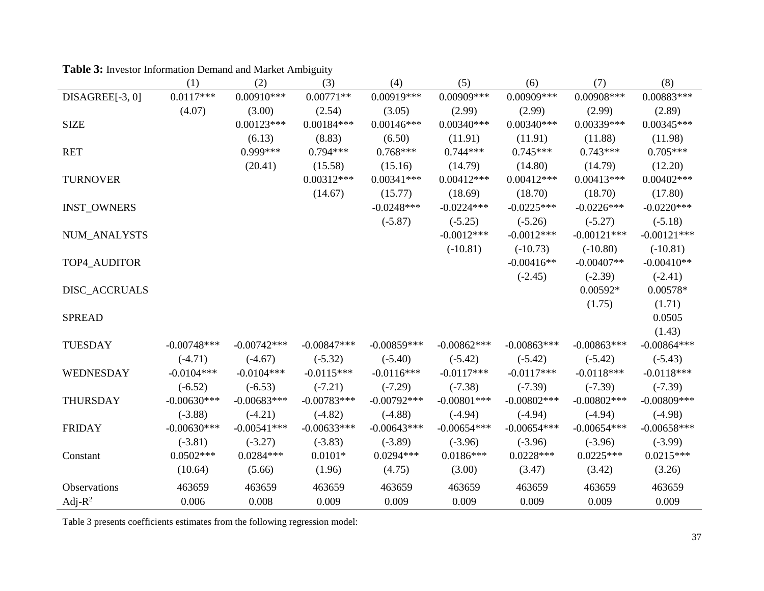|                     | (1)           | (2)           | (3)           | (4)           | (5)            | (6)            | (7)            | (8)            |
|---------------------|---------------|---------------|---------------|---------------|----------------|----------------|----------------|----------------|
| DISAGREE[-3, 0]     | $0.0117***$   | $0.00910***$  | $0.00771**$   | 0.00919***    | 0.00909***     | 0.00909***     | $0.00908$ ***  | $0.00883***$   |
|                     | (4.07)        | (3.00)        | (2.54)        | (3.05)        | (2.99)         | (2.99)         | (2.99)         | (2.89)         |
| <b>SIZE</b>         |               | $0.00123***$  | $0.00184***$  | $0.00146***$  | $0.00340***$   | $0.00340***$   | 0.00339***     | $0.00345***$   |
|                     |               | (6.13)        | (8.83)        | (6.50)        | (11.91)        | (11.91)        | (11.88)        | (11.98)        |
| <b>RET</b>          |               | $0.999***$    | $0.794***$    | $0.768***$    | $0.744***$     | $0.745***$     | $0.743***$     | $0.705***$     |
|                     |               | (20.41)       | (15.58)       | (15.16)       | (14.79)        | (14.80)        | (14.79)        | (12.20)        |
| <b>TURNOVER</b>     |               |               | $0.00312***$  | $0.00341***$  | $0.00412***$   | $0.00412***$   | $0.00413***$   | $0.00402***$   |
|                     |               |               | (14.67)       | (15.77)       | (18.69)        | (18.70)        | (18.70)        | (17.80)        |
| <b>INST_OWNERS</b>  |               |               |               | $-0.0248***$  | $-0.0224***$   | $-0.0225***$   | $-0.0226***$   | $-0.0220***$   |
|                     |               |               |               | $(-5.87)$     | $(-5.25)$      | $(-5.26)$      | $(-5.27)$      | $(-5.18)$      |
| NUM_ANALYSTS        |               |               |               |               | $-0.0012***$   | $-0.0012***$   | $-0.00121***$  | $-0.00121***$  |
|                     |               |               |               |               | $(-10.81)$     | $(-10.73)$     | $(-10.80)$     | $(-10.81)$     |
| TOP4 AUDITOR        |               |               |               |               |                | $-0.00416**$   | $-0.00407**$   | $-0.00410**$   |
|                     |               |               |               |               |                | $(-2.45)$      | $(-2.39)$      | $(-2.41)$      |
| DISC_ACCRUALS       |               |               |               |               |                |                | $0.00592*$     | $0.00578*$     |
|                     |               |               |               |               |                |                | (1.75)         | (1.71)         |
| <b>SPREAD</b>       |               |               |               |               |                |                |                | 0.0505         |
|                     |               |               |               |               |                |                |                | (1.43)         |
| <b>TUESDAY</b>      | $-0.00748***$ | $-0.00742***$ | $-0.00847***$ | $-0.00859***$ | $-0.00862***$  | $-0.00863***$  | $-0.00863***$  | $-0.00864***$  |
|                     | $(-4.71)$     | $(-4.67)$     | $(-5.32)$     | $(-5.40)$     | $(-5.42)$      | $(-5.42)$      | $(-5.42)$      | $(-5.43)$      |
| WEDNESDAY           | $-0.0104***$  | $-0.0104***$  | $-0.0115***$  | $-0.0116***$  | $-0.0117***$   | $-0.0117***$   | $-0.0118***$   | $-0.0118***$   |
|                     | $(-6.52)$     | $(-6.53)$     | $(-7.21)$     | $(-7.29)$     | $(-7.38)$      | $(-7.39)$      | $(-7.39)$      | $(-7.39)$      |
| <b>THURSDAY</b>     | $-0.00630***$ | $-0.00683***$ | $-0.00783***$ | $-0.00792***$ | $-0.00801$ *** | $-0.00802$ *** | $-0.00802$ *** | $-0.00809$ *** |
|                     | $(-3.88)$     | $(-4.21)$     | $(-4.82)$     | $(-4.88)$     | $(-4.94)$      | $(-4.94)$      | $(-4.94)$      | $(-4.98)$      |
| <b>FRIDAY</b>       | $-0.00630***$ | $-0.00541***$ | $-0.00633***$ | $-0.00643***$ | $-0.00654***$  | $-0.00654***$  | $-0.00654***$  | $-0.00658***$  |
|                     | $(-3.81)$     | $(-3.27)$     | $(-3.83)$     | $(-3.89)$     | $(-3.96)$      | $(-3.96)$      | $(-3.96)$      | $(-3.99)$      |
| Constant            | $0.0502***$   | $0.0284***$   | $0.0101*$     | $0.0294***$   | $0.0186***$    | $0.0228***$    | $0.0225***$    | $0.0215***$    |
|                     | (10.64)       | (5.66)        | (1.96)        | (4.75)        | (3.00)         | (3.47)         | (3.42)         | (3.26)         |
| <b>Observations</b> | 463659        | 463659        | 463659        | 463659        | 463659         | 463659         | 463659         | 463659         |
| Adj- $R^2$          | 0.006         | 0.008         | 0.009         | 0.009         | 0.009          | 0.009          | 0.009          | 0.009          |

| <b>Table 3:</b> Investor Information Demand and Market Ambiguity |  |
|------------------------------------------------------------------|--|
|                                                                  |  |

Table 3 presents coefficients estimates from the following regression model: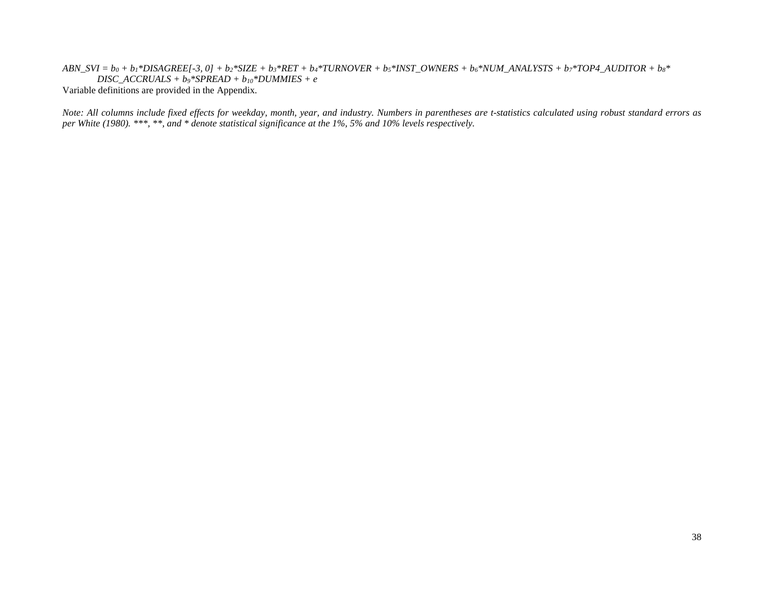$ABN_SVI = b_0 + b_1 * DISAGREE[ -3, 0] + b_2 * SIZE + b_3 * RET + b_4 * TURNOVER + b_5 * INST_OWNERS + b_6 * NUM_A NALYSIS + b_7 * TOP4_AUDITOR + b_8 *$ *DISC\_ACCRUALS + b9\*SPREAD + b10\*DUMMIES + e* Variable definitions are provided in the Appendix.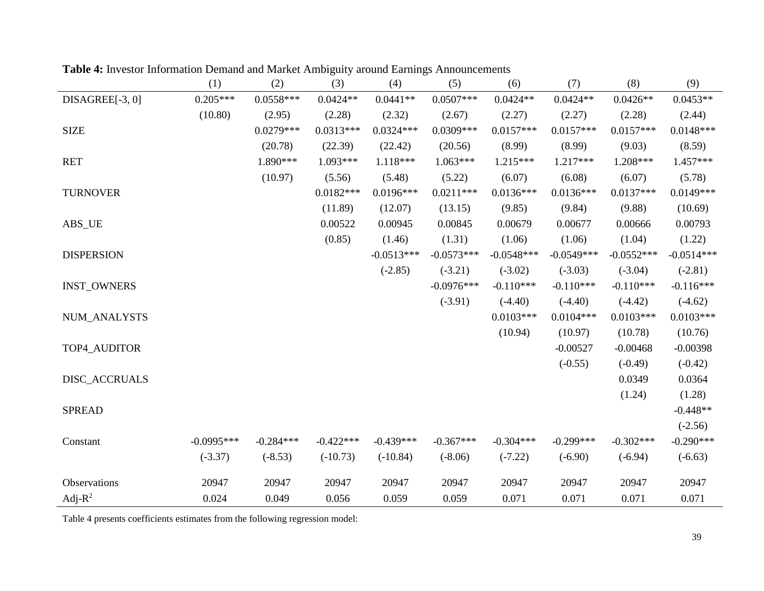|                    | (1)          | (2)         | (3)         | (4)          | (5)          | (6)          | (7)          | (8)          | (9)          |
|--------------------|--------------|-------------|-------------|--------------|--------------|--------------|--------------|--------------|--------------|
| DISAGREE[-3, 0]    | $0.205***$   | $0.0558***$ | $0.0424**$  | $0.0441**$   | $0.0507***$  | $0.0424**$   | $0.0424**$   | $0.0426**$   | $0.0453**$   |
|                    | (10.80)      | (2.95)      | (2.28)      | (2.32)       | (2.67)       | (2.27)       | (2.27)       | (2.28)       | (2.44)       |
| <b>SIZE</b>        |              | $0.0279***$ | $0.0313***$ | $0.0324***$  | 0.0309***    | $0.0157***$  | $0.0157***$  | $0.0157***$  | $0.0148***$  |
|                    |              | (20.78)     | (22.39)     | (22.42)      | (20.56)      | (8.99)       | (8.99)       | (9.03)       | (8.59)       |
| <b>RET</b>         |              | 1.890***    | $1.093***$  | $1.118***$   | $1.063***$   | $1.215***$   | $1.217***$   | 1.208***     | $1.457***$   |
|                    |              | (10.97)     | (5.56)      | (5.48)       | (5.22)       | (6.07)       | (6.08)       | (6.07)       | (5.78)       |
| <b>TURNOVER</b>    |              |             | $0.0182***$ | $0.0196***$  | $0.0211***$  | $0.0136***$  | $0.0136***$  | $0.0137***$  | $0.0149***$  |
|                    |              |             | (11.89)     | (12.07)      | (13.15)      | (9.85)       | (9.84)       | (9.88)       | (10.69)      |
| ABS_UE             |              |             | 0.00522     | 0.00945      | 0.00845      | 0.00679      | 0.00677      | 0.00666      | 0.00793      |
|                    |              |             | (0.85)      | (1.46)       | (1.31)       | (1.06)       | (1.06)       | (1.04)       | (1.22)       |
| <b>DISPERSION</b>  |              |             |             | $-0.0513***$ | $-0.0573***$ | $-0.0548***$ | $-0.0549***$ | $-0.0552***$ | $-0.0514***$ |
|                    |              |             |             | $(-2.85)$    | $(-3.21)$    | $(-3.02)$    | $(-3.03)$    | $(-3.04)$    | $(-2.81)$    |
| <b>INST_OWNERS</b> |              |             |             |              | $-0.0976***$ | $-0.110***$  | $-0.110***$  | $-0.110***$  | $-0.116***$  |
|                    |              |             |             |              | $(-3.91)$    | $(-4.40)$    | $(-4.40)$    | $(-4.42)$    | $(-4.62)$    |
| NUM_ANALYSTS       |              |             |             |              |              | $0.0103***$  | $0.0104***$  | $0.0103***$  | $0.0103***$  |
|                    |              |             |             |              |              | (10.94)      | (10.97)      | (10.78)      | (10.76)      |
| TOP4_AUDITOR       |              |             |             |              |              |              | $-0.00527$   | $-0.00468$   | $-0.00398$   |
|                    |              |             |             |              |              |              | $(-0.55)$    | $(-0.49)$    | $(-0.42)$    |
| DISC_ACCRUALS      |              |             |             |              |              |              |              | 0.0349       | 0.0364       |
|                    |              |             |             |              |              |              |              | (1.24)       | (1.28)       |
| <b>SPREAD</b>      |              |             |             |              |              |              |              |              | $-0.448**$   |
|                    |              |             |             |              |              |              |              |              | $(-2.56)$    |
| Constant           | $-0.0995***$ | $-0.284***$ | $-0.422***$ | $-0.439***$  | $-0.367***$  | $-0.304***$  | $-0.299***$  | $-0.302***$  | $-0.290***$  |
|                    | $(-3.37)$    | $(-8.53)$   | $(-10.73)$  | $(-10.84)$   | $(-8.06)$    | $(-7.22)$    | $(-6.90)$    | $(-6.94)$    | $(-6.63)$    |
| Observations       | 20947        | 20947       | 20947       | 20947        | 20947        | 20947        | 20947        | 20947        | 20947        |
| Adj- $R^2$         | 0.024        | 0.049       | 0.056       | 0.059        | 0.059        | 0.071        | 0.071        | 0.071        | 0.071        |

**Table 4:** Investor Information Demand and Market Ambiguity around Earnings Announcements

Table 4 presents coefficients estimates from the following regression model: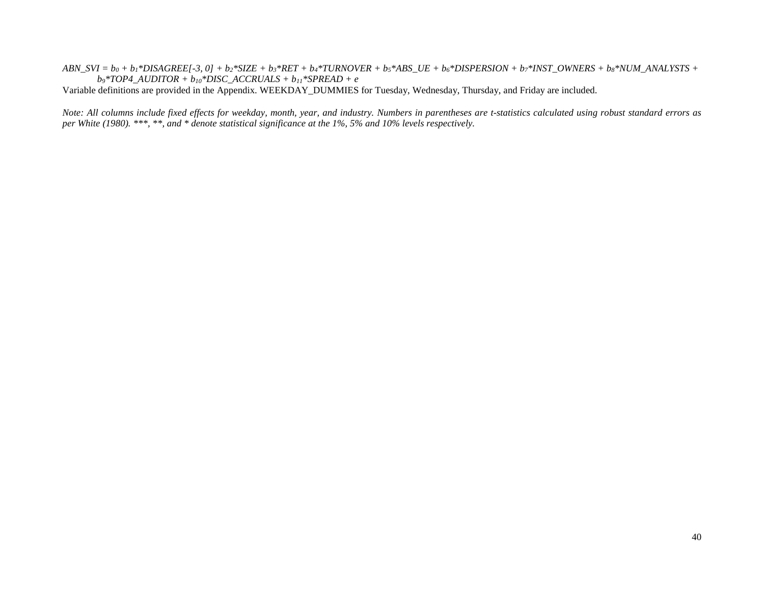$ABN_SVI = b_0 + b_1 * DISAGREE[-3, 0] + b_2 * SIZE + b_3 * RET + b_4 * TURNOVER + b_5 * ABS_UE + b_6 * DISPERSION + b_7 * INST_OWNERS + b_8 * NUM_A NALYSTS + b_9 * RET + b_1 * TURNOVER + b_1 * ABS_UE + b_1 * DISPERSION + b_1 * INST_OWNERS + b_2 * NUM_A NALYSTS + b_2 * RET.$ *b9\*TOP4\_AUDITOR + b10\*DISC\_ACCRUALS + b11\*SPREAD + e*

Variable definitions are provided in the Appendix. WEEKDAY\_DUMMIES for Tuesday, Wednesday, Thursday, and Friday are included.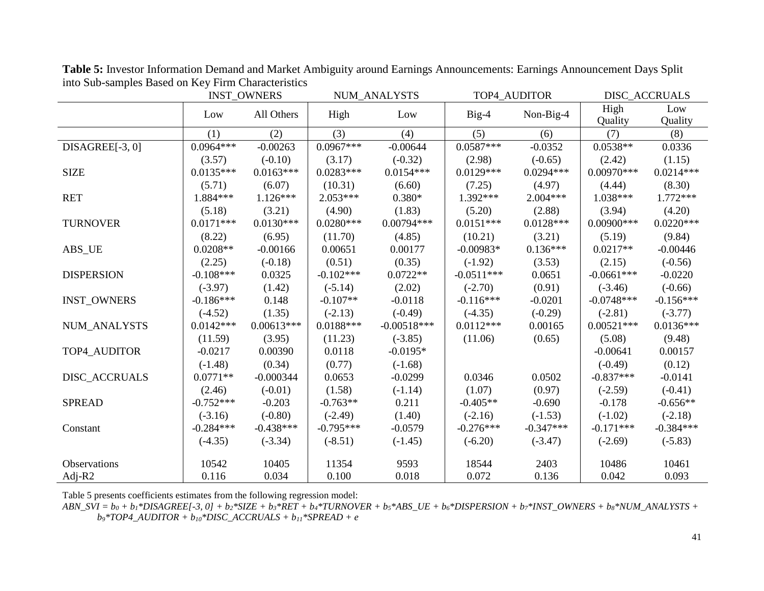|                      | <b>INST_OWNERS</b> |              |             | NUM_ANALYSTS  |              | TOP4_AUDITOR | DISC_ACCRUALS   |                |  |
|----------------------|--------------------|--------------|-------------|---------------|--------------|--------------|-----------------|----------------|--|
|                      | Low                | All Others   | High        | Low           | $Big-4$      | Non-Big-4    | High<br>Quality | Low<br>Quality |  |
|                      | (1)                | (2)          | (3)         | (4)           | (5)          | (6)          | (7)             | (8)            |  |
| DISAGREE[-3, 0]      | $0.0964***$        | $-0.00263$   | $0.0967***$ | $-0.00644$    | $0.0587***$  | $-0.0352$    | $0.0538**$      | 0.0336         |  |
|                      | (3.57)             | $(-0.10)$    | (3.17)      | $(-0.32)$     | (2.98)       | $(-0.65)$    | (2.42)          | (1.15)         |  |
| <b>SIZE</b>          | $0.0135***$        | $0.0163***$  | $0.0283***$ | $0.0154***$   | $0.0129***$  | $0.0294***$  | $0.00970***$    | $0.0214***$    |  |
|                      | (5.71)             | (6.07)       | (10.31)     | (6.60)        | (7.25)       | (4.97)       | (4.44)          | (8.30)         |  |
| <b>RET</b>           | 1.884***           | $1.126***$   | $2.053***$  | $0.380*$      | 1.392***     | $2.004***$   | $1.038***$      | $1.772***$     |  |
|                      | (5.18)             | (3.21)       | (4.90)      | (1.83)        | (5.20)       | (2.88)       | (3.94)          | (4.20)         |  |
| <b>TURNOVER</b>      | $0.0171***$        | $0.0130***$  | $0.0280***$ | $0.00794***$  | $0.0151***$  | $0.0128***$  | $0.00900$ ***   | $0.0220***$    |  |
|                      | (8.22)             | (6.95)       | (11.70)     | (4.85)        | (10.21)      | (3.21)       | (5.19)          | (9.84)         |  |
| ABS_UE               | $0.0208**$         | $-0.00166$   | 0.00651     | 0.00177       | $-0.00983*$  | $0.136***$   | $0.0217**$      | $-0.00446$     |  |
|                      | (2.25)             | $(-0.18)$    | (0.51)      | (0.35)        | $(-1.92)$    | (3.53)       | (2.15)          | $(-0.56)$      |  |
| <b>DISPERSION</b>    | $-0.108***$        | 0.0325       | $-0.102***$ | $0.0722**$    | $-0.0511***$ | 0.0651       | $-0.0661***$    | $-0.0220$      |  |
|                      | $(-3.97)$          | (1.42)       | $(-5.14)$   | (2.02)        | $(-2.70)$    | (0.91)       | $(-3.46)$       | $(-0.66)$      |  |
| <b>INST OWNERS</b>   | $-0.186***$        | 0.148        | $-0.107**$  | $-0.0118$     | $-0.116***$  | $-0.0201$    | $-0.0748***$    | $-0.156***$    |  |
|                      | $(-4.52)$          | (1.35)       | $(-2.13)$   | $(-0.49)$     | $(-4.35)$    | $(-0.29)$    | $(-2.81)$       | $(-3.77)$      |  |
| NUM_ANALYSTS         | $0.0142***$        | $0.00613***$ | $0.0188***$ | $-0.00518***$ | $0.0112***$  | 0.00165      | $0.00521***$    | $0.0136***$    |  |
|                      | (11.59)            | (3.95)       | (11.23)     | $(-3.85)$     | (11.06)      | (0.65)       | (5.08)          | (9.48)         |  |
| TOP4_AUDITOR         | $-0.0217$          | 0.00390      | 0.0118      | $-0.0195*$    |              |              | $-0.00641$      | 0.00157        |  |
|                      | $(-1.48)$          | (0.34)       | (0.77)      | $(-1.68)$     |              |              | $(-0.49)$       | (0.12)         |  |
| <b>DISC ACCRUALS</b> | $0.0771**$         | $-0.000344$  | 0.0653      | $-0.0299$     | 0.0346       | 0.0502       | $-0.837***$     | $-0.0141$      |  |
|                      | (2.46)             | $(-0.01)$    | (1.58)      | $(-1.14)$     | (1.07)       | (0.97)       | $(-2.59)$       | $(-0.41)$      |  |
| <b>SPREAD</b>        | $-0.752***$        | $-0.203$     | $-0.763**$  | 0.211         | $-0.405**$   | $-0.690$     | $-0.178$        | $-0.656**$     |  |
|                      | $(-3.16)$          | $(-0.80)$    | $(-2.49)$   | (1.40)        | $(-2.16)$    | $(-1.53)$    | $(-1.02)$       | $(-2.18)$      |  |
| Constant             | $-0.284***$        | $-0.438***$  | $-0.795***$ | $-0.0579$     | $-0.276***$  | $-0.347***$  | $-0.171***$     | $-0.384***$    |  |
|                      | $(-4.35)$          | $(-3.34)$    | $(-8.51)$   | $(-1.45)$     | $(-6.20)$    | $(-3.47)$    | $(-2.69)$       | $(-5.83)$      |  |
| Observations         | 10542              | 10405        | 11354       | 9593          | 18544        | 2403         | 10486           | 10461          |  |
| Adj- $R2$            | 0.116              | 0.034        | 0.100       | 0.018         | 0.072        | 0.136        | 0.042           | 0.093          |  |

**Table 5:** Investor Information Demand and Market Ambiguity around Earnings Announcements: Earnings Announcement Days Split into Sub-samples Based on Key Firm Characteristics

Table 5 presents coefficients estimates from the following regression model:

 $ABN_SVI = b_0 + b_1 * DISAGREE[-3, 0] + b_2 * SIZE + b_3 * RET + b_4 * TURNOVER + b_5 * ABS_UE + b_6 * DISPERSION + b_7 *INST_OWNERS + b_8 * NUM_A NALYSTS + b_9 * RET + b_1 * TURNOVER + b_1 * ABS_UE + b_1 * DISPERSION + b_1 * INST_OWNERS + b_2 * NUM_A NALYSTS + b_3 * RET_A + B_1 * TURNOVER + b_1 * SUSPERSION + b_2 * SUSPERSION + b_3 * SUSPERS IN_S + b_4 * NUM_A NALYSTS + b_5 * SUSPERSION + b_5 * SUSPERSION + b$ *b9\*TOP4\_AUDITOR + b10\*DISC\_ACCRUALS + b11\*SPREAD + e*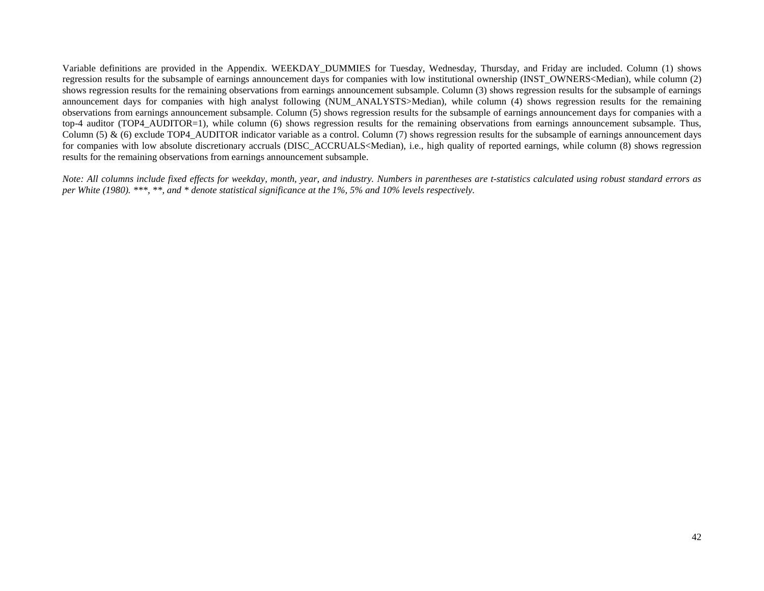Variable definitions are provided in the Appendix. WEEKDAY\_DUMMIES for Tuesday, Wednesday, Thursday, and Friday are included. Column (1) shows regression results for the subsample of earnings announcement days for companies with low institutional ownership (INST\_OWNERS<Median), while column (2) shows regression results for the remaining observations from earnings announcement subsample. Column (3) shows regression results for the subsample of earnings announcement days for companies with high analyst following (NUM\_ANALYSTS>Median), while column (4) shows regression results for the remaining observations from earnings announcement subsample. Column (5) shows regression results for the subsample of earnings announcement days for companies with a top-4 auditor (TOP4\_AUDITOR=1), while column (6) shows regression results for the remaining observations from earnings announcement subsample. Thus, Column  $(5)$  &  $(6)$  exclude TOP4\_AUDITOR indicator variable as a control. Column  $(7)$  shows regression results for the subsample of earnings announcement days for companies with low absolute discretionary accruals (DISC\_ACCRUALS<Median), i.e., high quality of reported earnings, while column (8) shows regression results for the remaining observations from earnings announcement subsample.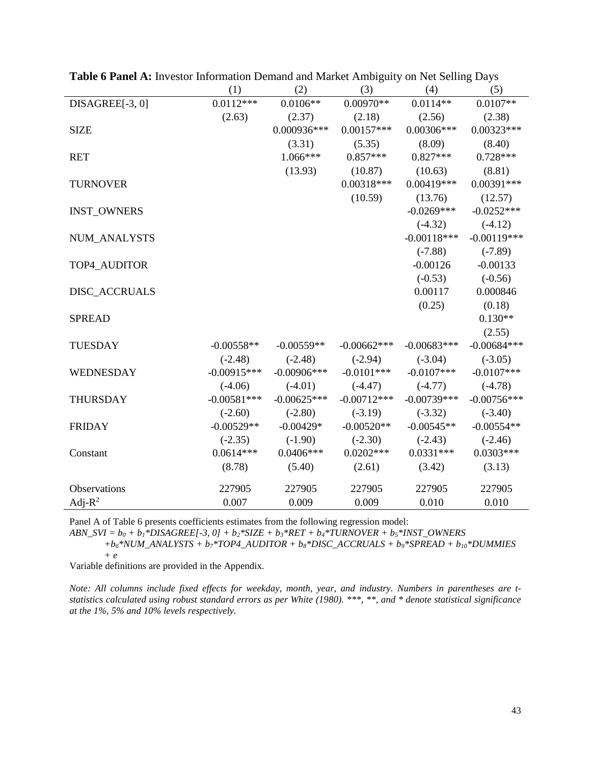|                     | (1)           | (2)            | (3)           | (4)           | (5)           |
|---------------------|---------------|----------------|---------------|---------------|---------------|
| DISAGREE[-3, 0]     | $0.0112***$   | $0.0106**$     | $0.00970**$   | $0.0114**$    | $0.0107**$    |
|                     | (2.63)        | (2.37)         | (2.18)        | (2.56)        | (2.38)        |
| <b>SIZE</b>         |               | 0.000936***    | $0.00157***$  | $0.00306***$  | $0.00323***$  |
|                     |               | (3.31)         | (5.35)        | (8.09)        | (8.40)        |
| <b>RET</b>          |               | $1.066***$     | $0.857***$    | $0.827***$    | $0.728***$    |
|                     |               | (13.93)        | (10.87)       | (10.63)       | (8.81)        |
| <b>TURNOVER</b>     |               |                | $0.00318***$  | $0.00419***$  | $0.00391***$  |
|                     |               |                | (10.59)       | (13.76)       | (12.57)       |
| <b>INST_OWNERS</b>  |               |                |               | $-0.0269***$  | $-0.0252***$  |
|                     |               |                |               | $(-4.32)$     | $(-4.12)$     |
| NUM_ANALYSTS        |               |                |               | $-0.00118***$ | $-0.00119***$ |
|                     |               |                |               | $(-7.88)$     | $(-7.89)$     |
| TOP4 AUDITOR        |               |                |               | $-0.00126$    | $-0.00133$    |
|                     |               |                |               | $(-0.53)$     | $(-0.56)$     |
| DISC_ACCRUALS       |               |                |               | 0.00117       | 0.000846      |
|                     |               |                |               | (0.25)        | (0.18)        |
| <b>SPREAD</b>       |               |                |               |               | $0.130**$     |
|                     |               |                |               |               | (2.55)        |
| <b>TUESDAY</b>      | $-0.00558**$  | $-0.00559**$   | $-0.00662***$ | $-0.00683***$ | $-0.00684***$ |
|                     | $(-2.48)$     | $(-2.48)$      | $(-2.94)$     | $(-3.04)$     | $(-3.05)$     |
| WEDNESDAY           | $-0.00915***$ | $-0.00906$ *** | $-0.0101***$  | $-0.0107***$  | $-0.0107***$  |
|                     | $(-4.06)$     | $(-4.01)$      | $(-4.47)$     | $(-4.77)$     | $(-4.78)$     |
| <b>THURSDAY</b>     | $-0.00581***$ | $-0.00625***$  | $-0.00712***$ | $-0.00739***$ | $-0.00756***$ |
|                     | $(-2.60)$     | $(-2.80)$      | $(-3.19)$     | $(-3.32)$     | $(-3.40)$     |
| <b>FRIDAY</b>       | $-0.00529**$  | $-0.00429*$    | $-0.00520**$  | $-0.00545**$  | $-0.00554**$  |
|                     | $(-2.35)$     | $(-1.90)$      | $(-2.30)$     | $(-2.43)$     | $(-2.46)$     |
| Constant            | $0.0614***$   | $0.0406***$    | $0.0202***$   | $0.0331***$   | $0.0303***$   |
|                     | (8.78)        | (5.40)         | (2.61)        | (3.42)        | (3.13)        |
| <b>Observations</b> | 227905        | 227905         | 227905        | 227905        | 227905        |
|                     |               |                |               |               |               |
| Adj- $R^2$          | 0.007         | 0.009          | 0.009         | 0.010         | 0.010         |

**Table 6 Panel A:** Investor Information Demand and Market Ambiguity on Net Selling Days

Panel A of Table 6 presents coefficients estimates from the following regression model:

*ABN\_SVI = b0 + b1\*DISAGREE[-3, 0] + b2\*SIZE + b3\*RET + b4\*TURNOVER + b5\*INST\_OWNERS* 

*+b6\*NUM\_ANALYSTS + b7\*TOP4\_AUDITOR + b8\*DISC\_ACCRUALS + b9\*SPREAD + b10\*DUMMIES + e*

Variable definitions are provided in the Appendix.